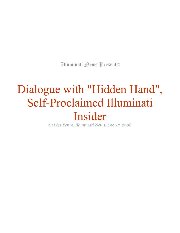Alluminati Rews Presents:

# Dialogue with "Hidden Hand", Self-Proclaimed Illuminati Insider

*by Wes Penre, Illuminati News, Dec 27, 2008*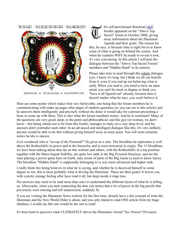#### THE THIDDEN THOND



MOTHER \* TEACHER \* DESTROYER



his self-proclaimed illuminati [\[def\]](http://illuminati-news.com/00363.html#i) Insider appeared on the "Above Top Secret" forum in October 2008, giving away information about the Illuminati Agenda and their goals. The reason for

this, he says, is because time is right for us to know some of what is going on behind the scenes. And when he explains WHY he needs to reveal it now, it's very convincing. In this article I will post the dialogue between the "Above Top Secret Forum" members and "Hidden Hand" in its entirety.

Please take time to read through this whole dialogue (yes, I know it's long, but I think we all can benefit from it, even if you end up not believing what is said). When you read it, you need to have an open mind; you can't be stuck in dogma or think you "have it all figured out" already, because then it doesn't matter what he says, you won't believe it.

Here are some points which makes him very believable; one being that the forum members he is communicating with make up pages after pages of random questions (as you can see in this article) and he answers them intelligently and precisely without the delay it would take for a person presenting a hoax to come up with them. This is also what the forum members notice. And he is consistent! Many of the questions are very good, deep, to the point and philosophical, and this guy (or woman, we don't know - this being claims not to be from this Earth), manages to reply on a very deep level, and his answers don't contradict each other. In an advanced and intelligent dialogue like this, it's very unlikely anyone would be able to do that without giving himself away at some point. You will most certainly notice he/she is sincere.

Ever wondered who is "on top of the Pyramid?" He gives us a clue. The bloodline he represents is well above the Rothschild's in power and in the hierarchy and is extra-terrestrial in origin. The 13 bloodlines we have been talking about thus far on this website and others, with the Rothschild's in a top position together with the Merovingian Nobility, are quite low rank in the Big Pyramid Structure, and are the ones playing a power game here on Earth, only aware of parts of the Big Game (a need to know basis). The bloodline "Hidden Hand" is supposedly belonging to is way more advanced and higher rank.

I really think this being believes in what he is saying, and whether he is deceived himself to some degree or not, this is most probably what is driving the Illuminati. These are their goals! It leaves you with a pretty strange feeling after have read it all, but deep inside it rings true.

His answers may need to be read more than once to understand the different layers of what he is telling us. Afterwards, when you start connecting the dots you notice that a lot of pieces in the big puzzle that previously were missing and left unanswered, suddenly fit.

If you are visiting the Illuminati News website for the first time, already have a fair concept of what the Illuminati and the New World Order is about, and you only intend to read ONE article from my huge database, I would say this one would be the one to read!

It's been hard to perceive what ULTIMATELY drives the Illuminati. Greed? Yes. Power? Of course.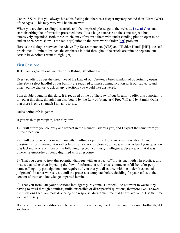Control? Sure. But you always have this feeling that there is a deeper mystery behind their "Great Work of the Ages". This may very well be the answer!

When you are done reading this article and feel inspired, please go to the website, [Law of One,](http://www.lawofone.info/) and start absorbing the information presented there. It is a huge database on the same subject, but extensively expanded. Both these article, may if we read them with understanding plus an open mind and an open heart, show us the real so[u]lution to the New World Order [\[def\]](http://illuminati-news.com/00363.html#ii) problem.

Here is the dialogue between the Above Top Secret members [**ATS**] and "Hidden Hand" [**HH**], the selfproclaimed Illuminati Insider (the emphases in **bold** throughout the article are mine to separate out certain keys points I want to highlight):

# First Session:

**HH:** I am a generational member of a Ruling Bloodline Family.

Every so often, as per the directives of the Law of our Creator, a brief window of opportunity opens, whereby a select handful of our Family are required to make communication with our subjects, and offer you the chance to ask us any questions you would like answered.

I am double-bound in this duty. It is required of me by The Law of our Creator to offer this opportunity to you at this time, though I am also bound by the Law of (planetary) Free Will and by Family Oaths, that there is only so much I am able to say.

Rules define life in games.

If you wish to participate, here they are:

1). I will afford you courtesy and respect in the manner I address you, and I expect the same from you in reciprocation.

2). I will decide whether or not I am either willing or permitted to answer your question. If your question is not answered, it is either because I cannot disclose it, or because I considered your question was lacking in one or more of the following: respect, courtesy, intelligence, decency, or that it was otherwise unworthy of being dignified with a response.

3). That you agree to treat this potential dialogue with an aspect of "provisional faith". In practice, this means that rather than impeding the flow of information with crass comments of disbelief or petty name calling, my participation here requires of you that you discourse with me under "suspended judgment". In other words, wait until the process is complete, before deciding for yourself as to the content of truth and knowledge imparted herein.

4). That you formulate your questions intelligently. My time is limited. I do not want to waste it by having to trawl through pointless, futile, insensible or disrespectful questions, therefore I will answer the questions I feel are most deserving of a response, during the time that I have available. Use the time we have wisely.

If any of the above conditions are breached, I reserve the right to terminate our discourse forthwith, if I so choose.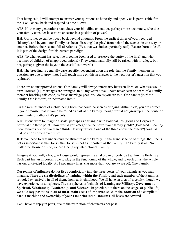That being said, I will attempt to answer your questions as honestly and openly as is permissible for me. I will check back and respond as time allows.

**ATS**: How many generations back does your bloodline extend, or, perhaps more accurately, who does your family consider its earliest ancestor in a position of power?

**HH**: Our Lineage can be traced back beyond antiquity. From the earliest times of your recorded "history", and beyond, our Family has been 'directing' the 'play' from behind the scenes, in one way or another. Before the rise and fall of Atlantis. (Yes, that was indeed perfectly real). We are 'born to lead'. It is part of the design for this current paradigm.

**ATS**: To what extent has selective breeding been used to preserve the purity of the line? and what becomes of children of unapproved unions? (They would naturally still be raised with privilege, but not, perhaps "given the keys to the castle" as it were?)

**HH**: The breeding is generally case specific, dependant upon the role that the Family members in question are due to grow into. I will touch more on this in answer to the next poster's question that you rephrased.

There are no unapproved unions. Our Family will always intermarry between lines, or, what we would term 'Houses' [\[1\]](http://illuminati-news.com/00363.html#1). Marriages are arranged. In all my years alive, I have never seen or heard of a Family member breaking this code, as far as marriage goes. You do as you are told. One cannot 'join' the Family. One is 'born', or incarnated into it.

On the rare instances of a child being born that could be seen as bringing 'difficulties', you are correct in your premise, that it would be raised as part of the Family, though would not grow up in the house or community of either of it's parents.

**ATS**: If one were to imagine a scale, perhaps as a triangle with Political, Religious and Corporate power at the three points, how would you categorize the power your family yields? (Balanced? Leaning more towards one or two than a third? Heavily favoring one of the three above the others?) And has that position shifted over time?

**HH**: You need to first understand the structure of the Family. In the grand scheme of things, the Line is not as important as the House, the House, is not as important as the Family. The Family is all. No matter the House or Line, we are One (truly international) Family.

Imagine if you will, **a** body. A House would represent a vital organ or body part within the Body itself. Each part has an important role to play in the functioning of the whole, and to each of us, the 'whole' has our undivided loyalty. As I say, many lines, (far more than you are aware of), One Family.

Our realms of influence do not fit as comfortably into the three boxes of your triangle as you may imagine. There are **six disciplines of training within the Family**, and each member of the Family is schooled extensively in all of them, from early childhood. We all have an area of specialty, though we have experience in all spheres. The six spheres or 'schools' of learning are **Military, Government, Spiritual, Scholarship, Leadership, and Sciences**. In practice, out there on the 'stage' of public life, **we hold key positions in all of these main areas of importance**. With the **addition of** a complicit **Media** machine and ownership of your **Financial establishments**, all bases are covered.

I will have to reply in parts, due to the restriction of characters per post.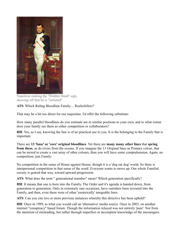

Napoleon making the "Hidden Hand" sign, showing off that he is "initiated"

**ATS**: Which Ruling Bloodline Family.... Rockefellers?

That may be a bit too direct for our inquisitee. I'd offer the following substitute:

How many parallel bloodlines do you estimate are in similar positions to your own, and to what extent does your family see them as either competition or collaborators?

**HH**: Yes, as I say, knowing the line is of no practical use to you. It is the belonging to the Family that is important.

There are **13 'base' or 'core' original bloodlines**. Yet there are **many many other lines** that **spring from these**, as do rivers from the oceans. If you imagine the 13 Original lines as Primary colour, that can be mixed to create a vast array of other colours, then you will have some comprehension. Again, no competition, just Family.

No competition in the sense of House against House, though it is a 'dog eat dog' world. So there is interpersonal competition in that sense of the word. Everyone wants to move up. Our whole Familial society is geared that way, toward upward progression.

**ATS**: What does the term " generational member" mean? Which generation specifically?

**HH**: It means that one is born into the Family. The Order and it's agenda is handed down, from generation to generation. Only in extremely rare occasions, have outsiders been invested into the Family, and then, even these were of other 'esoterically' integrable lines.

**ATS**: Can you cite two or more previous instances whereby this directive has been upheld?

**HH**: Once in 1999, to what you would call an 'alternative' media source. Once in 2003, on another internet "conspiracy" based forum. Though the information relayed was not entirely 'pure'. Not from the intention of misleading, but rather through imperfect or incomplete knowledge of the messengers.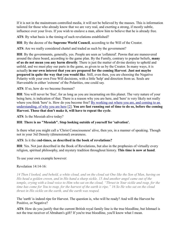If it is not in the mainstream controlled media, it will not be believed by the masses. This is information tailored for those who already know that we are very real, and exerting a strong, if mostly subtle, influence over your lives. If you wish to enslave a man, allow him to believe that he is already free.

**ATS**: By what basis is the timing of such revelations established?

**HH**: By the decree of the **Supreme World Council**, according to the Will of the Creator.

**ATS**: Are we really considered chattel and traded as such by the government?

**HH**: By the governments, generally, yes. People are seen as 'collateral'. Pawns that are maneuvered around the chess board, according to the game plan. By the Family, contrary to popular beliefs, **many of us do not mean you any harm directly**. There is just the matter of divine destiny to uphold and unfold, and we must play our parts in the game, as given to us by the Creator. In many ways, it is actually **in our own interest that you are prepared for the coming Harvest**. **Just not maybe prepared in quite the way that you would like**. Still, even then, you are choosing the Negative Polarity with your own Free Will decisions, with a little 'help' and direction from us. Souls are Harvestable in either 'extreme' of the Polarities, one could say.

# **ATS**: If so, how do we become freemen?

**HH**: You will never be 'free', for as long as you are incarnating on this planet. The very nature of your being here, is indication of that. There is a reason why you are here, and 'here' is very likely not really where you think 'here' is. How do you become free? [By working out where you are, and coming to an](http://illuminati-news.com/000-spiritual/html/how-to-fight-the-nwo.html) [understanding, of why you are here](http://illuminati-news.com/000-spiritual/html/how-to-fight-the-nwo.html) [\[2\]](http://illuminati-news.com/00363.html#2). **You are fast running out of time to do so, before the coming Harvest. Those that don't make it, will have to repeat the cycle**.

**ATS**: Is the Messiah alive today?

# **HH**: **There is no "Messiah". Stop looking outside of yourself for 'salvation'.**

Is there what you might call a 'Christ Consciousness' alive, then yes, in a manner of speaking. Though not in your 3rd Density (dimensional) awareness.

# **ATS**: Is it the e**nd-times, as described in the book of revelations?**

**HH**: Yes. Not just described in the Book of Revelations, but also in the prophesies of virtually every religion, spiritual philosophy, and mystery tradition throughout history. **This time is now at hand**.

To use your own example however:

# Revelation 14:14-16:

*14 Then I looked, and behold, a white cloud, and on the cloud sat One like the Son of Man, having on His head a golden crown, and in His hand a sharp sickle. 15 And another angel came out of the temple, crying with a loud voice to Him who sat on the cloud, "Thrust in Your sickle and reap, for the time has come for You to reap, for the harvest of the earth is ripe." 16 So He who sat on the cloud thrust in His sickle on the earth, and the earth was reaped.* 

The 'earth' is indeed ripe for Harvest. The question is, who will be ready? And will the Harvest be Positive, or Negative?

**ATS**: How do you justify that the current British royal family line is the true bloodline, but Ishmael is not the true receiver of Abraham's gift? If you're true bloodline, you'll know what I mean.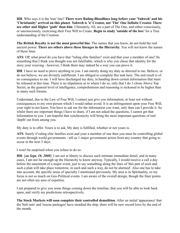**HH**: Who says it is the 'true' line? **There were Ruling-Bloodlines long before your 'Yahweh' and his 'Christianity' arrived on this planet**. **Yahweh is 'a' Creator, not 'The' One Infinite Creator. There are other and Higher 'gods' than him**. Ultimately, All, are a part of The One, and either consciously, or unconsciously, exercising their Free Will to Create. **Begin to study 'outside of the box'** for a True understanding of the Creation.

**The British Royalty is not the most powerful line**. The names that you know, do not hold the real ancient power. **There are others above these lineages in the Hierarchy**. You will not know the names of these lines.

**ATS**: OP, what proof do you have that "ruling elite families" exist and that your a member of one? Its something that I think you thought was not falsifiable, which is why you chose that identity for the story your weaving - however, I think there may indeed be a way you can prove it.

**HH**: I have no need to prove anything to you. I am merely doing my duty as directed to me. Believe, or do not believe, we are divinely indifferent. I am obliged to complete this task here. The end result is of no consequence to me. I will have discharged my duty, in handing down certain information that must be released at this time. There is no stipulation as to where I do so, only that I do. I chose Above Top Secret, as the general level of intelligence, comprehension and reasoning is reckoned to be higher than in many such forums.

Understand, due to the Law of Free Will, I cannot just give you information, at least not without consequences to my own person which I would rather avoid. It is an infringement upon your Free Will, your right to not know. You have to ask me for the information you want, only then can I provide it. So whilst there are important things I have to share, if I am not asked the questions, I cannot get that information to you. I am hopeful that synchronicity will bring the most important questions of real 'depth' out from among you.

My duty is to offer. Yours is to ask. My duty is fulfilled, whether or not yours is.

**ATS**: Surely if ruling elite families exist and your a member of one then you must be controlling global events through world governments - tell us 1 major government action from any country that going to occur in the next 5 days.

I won't be surprised when you refuse to do so.

**HH**: [*on Sept. 10, 2008*]: I am not at liberty to discuss such intimate immediate detail, and in many cases, I am not far enough up the Hierarchy to know anyway. Typically, I would receive a call a day before the enactment of a major event, just to say something along the lines of 'this part of such and such a plan will take place tomorrow, in such and such a way, do not be alarmed'. Also one has to take into account, the specific areas of specialty I mentioned previously. My area is in Spirituality, so my focus is not so much on Geo-Political events. I am aware of the overall design, though the finer points are not often my area of expertise.

I am prepared to give you some things coming down the timeline, that you will be able to look back upon, and verify my predictions retrospectively.

**The Stock Markets will soon complete their controlled demolition**. After an initial 'appearance' that the 'bail outs' and 'rescue packages' have steadied the ship, there will be new record lows by the end of the month.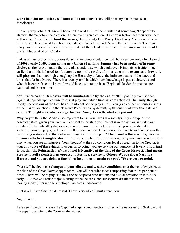**Our Financial Institutions will later call in all loans**. There will be many bankruptcies and foreclosures.

The only way John McCain will become the next US President, will be if something "happens" to Barack Obama before the election. If there even is an election. If a certain faction get their way, there will not be. Remember, **behind the scenes, there is only One Party. Our Party**. 'Democracy' is an illusion which is created to uphold your slavery. Whichever side 'wins'; the Family wins. There are many possibilities and alternative 'scripts'. All of them lead toward the ultimate implementation of the overall blueprint of our Creator.

Unless any unforeseen disruptions delay it's announcement, there will be a **new currency by the end of 2008 / early 2009, along with a new Union of nations**. **January has been spoken of in some circles, as the latest**, though there are plans underway which could even bring this to fruition much earlier than initially hoped for. It **depends upon the results of other upcoming events as to how this will play out**. I am not high enough up the Hierarchy to know the intimate details of the dates and times that far in advance. There is a 'tree system' in which such knowledge is passed down, as and when it becomes 'need to know'. I would be considered to be a "Regional" leader. Above me, are National and International.

**San Francisco and Damascus, will be uninhabitable by the end of 2010**, possibly even sooner. Again, it depends upon certain 'forces' at play, and which timelines are activated. Humanity, though utterly unconscious of the fact, has a significant part to play in this. You (as a collective consciousness of the planet) are choosing the Negative Polarization by default, by the quality of your thoughts and actions. **Thought is creative energy, focused. You get exactly what you put out**.

Why do you think the Media is so important to us? You have (as a society), in your hypnotized comatose state, given your Free Will consent to the state your planet is in today. You saturate your minds with the unhealthy dishes served up for you on your televisions that you are addicted to, violence, pornography, greed, hatred, selfishness, incessant 'bad news', fear and 'terror'. When was the last time you stopped, to think of something beautiful and pure? **The planet is the way it is, because of your collective thoughts about it**. You are complicit in your inaction, every time you 'look the other way' when you see an injustice. Your 'thought' at the sub-conscious level of creation to the Creator, is your allowance of these things to occur. In so doing, you are serving our purpose. **It is very important to us, that the Polarization of this planet is Negative at the time of the Great Harvest. That means Service to Self orientated, as opposed to Positive, Service to Others. We require a Negative Harvest, and you are doing a fine job of helping us to attain our goal. We are very grateful.**

There will be d**ramatic changes to your climate and weather conditions** over the next few years, as the time of the Great Harvest approaches. You will see windspeeds surpassing 300 miles per hour at times. There will be raging tsunamis and widespread devastation; and a solar emission in late 2009 early 2010 that will cause major melting of the ice caps, and subsequent drastic rise in sea levels, leaving many (international) metropolitan areas underwater.

That is all I have time for at present. I have a Sacrifice I must attend now.

No, not really.

Let's see if we can increase the 'depth' of enquiry and question matter in the next session. Seek beyond the superficial. Get to the 'Core' of the matter.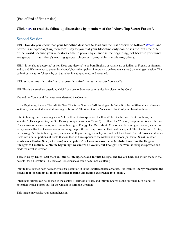## [End of End of first session]

# **Click [here](http://www.abovetopsecret.com/forum/thread402958/pg2) to read the follow-up discussions by members of the "Above Top Secret Forum".**

# Second Session:

ATS: How do you know that your bloodline deserves to lead and the rest deserve to follow? [Wealth](http://www.abovetopsecret.com/forum/thread402958/pg2) and power is self-propagating therefore I say to you that your bloodline only comprises the 'extreme elite' of the world because your ancestors came to power by chance in the beginning, not because your kind are special. In fact, there's nothing special, clever or honourable in enslaving others.

HH: It is not about 'deserving' or not. Does one 'deserve' to be born English, or American, or Italian, or French, or German, and so on? We came not to power by 'chance', but rather, (which I know may be hard to swallow) by intelligent design. This path of ours was not 'chosen' by us, but rather it was appointed, and accepted.

ATS: Who is your "creator" and is your "creator" the same as our "creator"?

HH: This is an excellent question, which I can use to draw our communication closer to the 'Core'.

Yes and no. You would first need to understand the Creation.

In the Beginning, there is The Infinite One. This is the Source of All. Intelligent Infinity. It is the undifferentiated absolute. Within It, is unlimited potential, waiting to 'become'. Think of it as the "uncarved block" of your Taoist traditions.

Infinite Intelligence, becoming 'aware' of Itself, seeks to experience Itself, and The One Infinite Creator is 'born', or 'manifest' (This appears to your 3rd Density comprehension as "Space"). In effect, the 'Creator', is a point of focused Infinite Consciousness or awareness, into Infinite Intelligent Energy. The One Infinite Creator also becoming self aware, seeks too to experience Itself as Creator, and in so doing, begins the next step down in the Creational spiral. The One Infinite Creator, in focusing It's Infinite Intelligence, becomes Intelligent Energy (which you could call **the Great Central Sun**), and divides Itself into smaller portions of Itself, that can then in turn experience themselves as Creators (or Central Suns). In other words, **each Central Sun (or Creator) is a 'step down' in Conscious awareness (or distortion) from the Original 'thought' of Creation.** So **"In the beginning" was not "The Word", but Thought**. The Word, is thought expressed and made manifest as Creator.

There is Unity. **Unity is All there is. Infinite Intelligence, and Infinite Energy. The two are One**, and within them, is the potental for all Creation. This state of Consciousness could be termed as 'Being'.

Infinite Intelligence does not recognize it's 'potential'. It is the undifferentiated absolute. But **Infinite Energy recognizes the potential of 'becoming' all things, in order to bring any desired experience into 'being'.**

Intelligent Infinity can be likened to the central 'Heartbeat' of Life, and Infinite Energy as the Spiritual 'Life-blood' (or potential) which 'pumps out' for the Creator to form the Creation.

This image may assist your comprehension: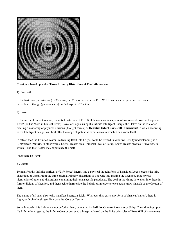

Creation is based upon the **'Three Primary Distortions of The Infinite One'**.

1). Free Will:

In the first Law (or distortion) of Creation, the Creator receives the Free Will to know and experience Itself as an individuated though (paradoxically) unified aspect of The One.

#### 2). Love:

In the second Law of Creation, the initial distortion of Free Will, becomes a focus point of awareness known as Logos, or 'Love' (or The Word in biblical terms). Love, or Logos, using It's Infinite Intelligent Energy, then takes on the role of cocreating a vast array of physical illusions ('thought forms') or **Densities (which some call Dimensions)** in which according to It's Intelligent design, will best offer the range of 'potential' experiences in which It can know Itself.

In effect, the One Infinite Creator, in dividing Itself into Logos, could be termed in your 3rd Density understanding as a **'Universal Creator'**. In other words, Logos, creates on a Universal level of Being. Logos creates physical Universes, in which It and the Creator may experience theirself.

("Let there be Light")

3). Light:

To manifest this Infinite spiritual or 'Life-Force' Energy into a physical thought form of Densities, Logos creates the third distortion, of Light. From the three original Primary distortions of The One into making the Creation, arise myriad hierarchies of other sub-distortions, containing their own specific paradoxes. The goal of the Game is to enter into these in further divions of Creation, and then seek to harmonize the Polarities, in order to once again know Oneself as the Creator of them.

The nature of all such physically manifest Energy, is Light. Wherever thus exists any form of physical 'matter', there is Light, or Divine Intelligent Energy at it's Core or Centre.

Something which is Infinite cannot be 'other than', or 'many', **An Infinite Creator knows only Unity**. Thus, drawing upon It's Infinite Intelligence, the Infinite Creator designed a blueprint based on the finite principles of **Free Will of Awareness**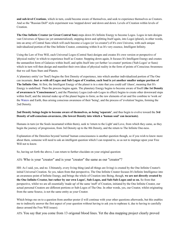**and sub-level Creations**, which in turn, could become aware of themselves, and seek to experience themselves as Creators. And so the "Russian Doll" style experiment was 'stepped down' and down and down. Levels of Creation within levels of Creation.

**The One Infinite Creator (or Great Central Sun)** steps down It's Infinite Energy to become Logos. Logos in turn designs vast Universes of Space (as yet unmaterialized), stepping down and splitting Itself again, into Logoi (plural), in other words, into an array of Central Suns which will each become a Logos (or 'co-creator') of It's own Universe, with each unique individualized portion of the One Infinite Creator, containing within It as It's very essence, Intelligent Infinity.

Using the Law of Free Will, each Universal Logos (Central Sun) designs and creates It's own version or perspective of 'physical reality' in which to experience Itself as Creator. Stepping down again, It focuses It's Intelligent Energy and creates the unmanifest form of Galaxies within Itself, and splits Itself into yet further 'co-creator' portions ('Sub-Logos' or Suns) which in turn will then design and manifest their own ideas of physical reality in the form of points of Conscious Awareness that we call Suns Stars and Planets.

A 'planetary entity' (or 'Soul') begins the first Density of experience, into which another individualized portion of The One can incarnate. **Just as with all Logos and Sub Logos of Creation, each Soul is yet another smaller unique portion of The Infinite One**. At first, the Intelligent Energy of the planet is in a state that you could call 'chaos', meaning that It's Energy is undefined. Then the process begins again. The planetary Energy begins to become aware of Itself (**the 1st Density of awareness is 'Consciousness'**), and the Planetary Logos (sub-sub-Logos in effect) begins to create other downward steps within Itself, and the internal make up of the planet begins to form; as the raw elements of air and fire combine to 'work on' the [Waters](http://www.abovetopsecret.com/forum/thread402958/pg2) and Earth, thus arising conscious awareness of their 'being', and the process of 'evolution' begins, forming the 2nd Density.

**2nd Density beings begin to become aware of themselves, as being 'separate'**, and thus begin to evolve toward the **3rd Density of self-conscious-awareness, (the lowest Density into which a 'human soul' can incarnate)**.

Humans in turn (or the Souls incarnated within them), seek to 'return to the Light' and Love, from which they came, as they begin the journey of progression, from 3rd Density up to the 8th Density, and the return to The Infinite One-ness.

Explanation of the Densities beyond 'normal' human consciousness is another question though, so if you wish to know more about them, someone will need to ask an intelligent question which I can respond to, so as not to impinge upon your Free Will not to know.

So, having set forth the above, I can return to further elucidate on your original question:

#### ATS: Who is your "creator" and is your "creator" the same as our "creator"?

HH: As I said, yes, and no. Ultimately, every living thing (and all things are living) is created by the One Infinite Creator's initial Universal Creation. So yes, taken from that perspective, The One Infinite Creator focuses It's Infinite Intelligence into an awareness point of Infinite Energy, and brings the whole of Creation into Being, though, **we are not directly created by the One Infinite Creator, but rather by our own Logos', Sub-Logos, and Sub-Sub-Logos and so on.** So from that perspective, whilst we are all essentially 'made up' of the same 'stuff' of Creation, initiated by the One Infinite Creator, our actual personal Creators are different portions or Sub-Logos of The One. In other words, yes, our Creator, whilst originating from the same Source, is not the same entity as your Creator.

Which brings me on to a question from another poster (I will continue with your other questions afterwards, but this enables me to indirectly answer the first aspect of your question without having to ask you to rephrase it, due to having to carefully dance around the Free Will issues).

ATS: You say that you come from 13 origonal blood lines. Yet the dna mapping project clearly proved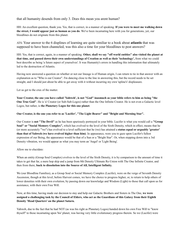that all humanity desends from only 3. Does this mean you arent human?

HH: An excellent question, thank you. Yes, that is correct, in a manner of speaking. **If you were to meet me walking down the street, I would appear just as human as you do**. We've been incarnating here with you for generations, yet, our bloodlines do not originate from this planet.

ATS: Your answer to the 6 displines of learning are quite similiar to a book about **atlantis** that was supposed to have been channeled, was this also a time for your bloodlines to post answers?

HH: Yes, that is correct, again, in a manner of speaking. **Other, shall we say "off world entities" also visited the planet at that time, and passed down their own understandings of Creation as well as their 'technology',** from what we could best describe as being 'a future aspect of yourselves'. It was Humanity's errors in handling this information that ultimately led to the destruction of Atlantis.

Having now answered a question on whether or not our lineage is of Human origin, I can return to tie in that answer with an explanation as to "Who is our Creator". I'm dancing close to the line in answering this, but the record needs to be set straight, and I should just about be able to get away with it without incurring my own 'upline's' displeasure.

Let us get to the crux of the matter.

**Your Creator, the one you have called 'Yahweh', is not "God" inasmuch as your bible refers to him as being "the One True God"**. He is 'a' Creator (or Sub-Sub-Logos) rather than the One Infinite Creator. He is not even a Galactic level Logos, but rather, is **the Planetary Logos for this one planet**.

**Our Creator, is the one you refer to as 'Lucifer', "The Light Bearer" and "Bright and Morning Star".**

Our Creator is **not "The Devil"** as he has been spuriously portrayed in your bible. Lucifer is what you would call a **"Group Soul" or "Social Memory Complex",** which has evolved to the level of the Sixth Density, which in effect, means that he (or more accurately "'we") has evolved to a level sufficient that he (we) has attained a **status equal or arguably 'greater' than that of Yahweh (we have evolved higher than him)**. In appearance, were you to gaze upon Lucifer's fullest expression of our Being, the appearance would be that of a Sun or a "Bright Star". Or, when stepping down into a 3rd Density vibration, we would appear as what you may term an 'Angel' or 'Light Being'.

Allow me to elucidate:

When an entity (Group Soul Complex) evolves to the level of the Sixth Density, it is by comparison to the amount of time it takes to get that far, a mere hop skip and a jump from 8th Density Ultimate Re-Union with The One Infinite Creator, and then from there, **back to dissolution into the Source of All, Intelligent Infinity.** 

We (our Bloodline Families), as a Group Soul or Social Memory Complex (Lucifer), were on the verge of Seventh Density Ascension, though at this level, before Harvest comes, we have the choice to progress higher, or, to return to help others of lower densities with their own evolution, by passing down our knowledge and Wisdom (Light) to those that call upon us for assistance, with their own Free Will.

Now, at this time, having made our decision to stay and help our Galactic Brothers and Sisters in The One, **we were assigned a challenging task by the Council of Elders, who act as the Guardians of this Galaxy from their Eighth Density 'Head Quarters' on the planet Saturn.** 

Yahweh, due to the fact that he had NOT (as was his right as Planetary Logos) handed down his own Free Will to "know thyself" to those incarnating upon 'his' planet, was having very little evolutionary progress therein. So we (Lucifer) were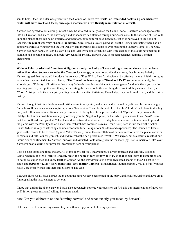#### sent to help. Once the order was given from the Council of Elders, **we "Fell", or Descended back to a place where we could, with hard work and focus, once again materialize a 3rd Density manifestation of ourself.**

Yahweh had agreed to our coming, in fact it was he who had initially asked the Council for a "Catalyst" of change to enter into his Creation, and share the knowledge and wisdom we had attained through our Ascensions. In the absence of Free Will upon the planet, there can be no Polarity, and therefore, nothing to 'choose' between. Just as is portrayed in the book of Genesis, **the planet was very "Edenic" in nature**. Sure, it was a lovely 'paradise', yet the Beings incarnating there had no agitator toward evolving beyond the 3rd Density, and therefore, little hope of ever making the journey Home, to The One. Yahweh has been happy to keep his own little pet Eden Project in effect, but with little chance of the Souls here making it Home, it had become in effect, an albeit very beautiful 'Prison'. Yahweh was, in modern parlance, running a benign dictatorship.

**Without Polarity, (derived from Free Will), there is only the Unity of Love and Light, and no choice to experience 'other than' that. So, we were to be the Catalyst for change**, in order to provide that choice, thus bringing Polarity. Yahweh agreed that we would introduce the concept of Free Will to Earth's inhabitants, by offering them an initial choice, as to whether they 'wanted' it or not. Hence, **"The Tree of the Knowledge of 'Good and Evil'"** (or more accurately, the Knowledge of Polarity, of Positive or Negative). Yahweh takes his inhabitants to a new 'garden' and tells them you can do anything you like, except this one thing, thus creating the desire to do the one thing there are told they cannot. Hence, a "Choice". We provide the Catalyst by telling them the benefits of attaining Knowledge, they eat from the tree, and the rest is history.

Yahweh thought that his 'Children' would still choose to obey him, and when he discovered they did not, he became angry. As he himself describes in his scriptures, he is a "Jealous God", and he did not like it that his 'children' had chose to disobey him, and follow our advice. We're already committed to being here for a predefined set of "Cycles" to help provide the Catalyst for Human evolution, namely by offering you the Negative Option, or that which you choose to call "evil". Now that Free Will had been granted, Yahweh could not retract it, and we have to stay here as contracted to continue to provide the planet with the Polarity choice. Since then, Yahweh has confined us (as a Group Soul) here within the Earth's Astral Planes (which is very constricting and uncomfortable for a Being of our Wisdom and experience). The Council of Elders gave us the choice to be released (against Yahweh's will), but at the cancellation of our contract to Serve the planet earth; or to remain and fulfil our assignment, and endure Yahweh's self proclaimed "Wrath". We stayed, but as a karmic result of our Group Soul's confinement by Yahweh, our own individuated Souls were given the mandate (by The Council) to "Rule" over Yahweh's people during our physical incarnations here on your planet.

Let's be clear about one thing though. All of this (physical life / incarnation), is a very intricate and skillfully designed Game, whereby t**he One Infinite Creator, plays the game of forgetting who It is, so that It can learn to remember**, and in doing so, experience and know Itself as Creator. All the way down to us tiny individuated sparks of the All That Is. Off stage, and **between "Lives" (zero-point time / anti-matter Universe)** as incarnated "human beings", we, all of us / you (as Souls), are great friends. Brothers and Sisters in The One.

Between 'lives' we all have a great laugh about the parts we have performed in the 'play', and look forward to and have great fun preparing the next chapters to act out.

I hope that during the above answer, I have also adequately covered your question on "what is our interpretation of good vrs evil? If not, please say, and I will go into more detail.

ATS: Can you elaborate on the "coming harvest" and what exactly you mean by harvest?

HH: I can. I will combine my answer to you with my reply to the following question:

<sup>......</sup>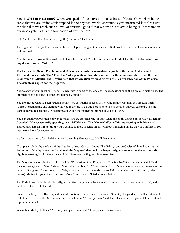ATS: **Is 2012 harvest time?** When you speak of the harvest, it has echoes of Chaos Gnosticism in the sense that we are divine souls trapped in the physical world, continuously re-incarnated into flesh until the time that we reach such a level of spiritual 'gnosis' that we are able to avoid being re-incarnated in our next cycle. Is this the foundation of your belief?

HH: Another excellent (and very insightful) question. Thank you.

The higher the quality of the question, the more depth I can give to my answer. It all has to do with the Laws of Confusion and Free Will.

Yes, the noonday Winter Solstice Sun of December 21st, 2012 is the time when the Lord of The Harvest shall return. **You might know him as "Nibiru".** 

**Read up on the Mayan Prophesies and Calendrical events for more detail upon how the actual Galactic and Universal Cycles work. The "Travelers" who gave them this information were the same ones who visited the the Civilization of Atlantis. The Mayans used that information by creating with the Positive vibration of the Polarity. The Atlanteans opted for the Negative.** 

Yes, to answer your question. There is much truth in some of the ancient Gnostic texts, though there are also distortions. The information is not 'pure'. It came through many 'filters'.

You are indeed what you call "Divine Souls"; you are sparks or seeds of The One Infinite Creator. You are Life Itself (Light), remembering and learning who you really are (we came here to help you to do this) and yes, currently, you are trapped (or more accurately "Quarantined") within the 'matter' of this planet you call Earth.

You can thank your Creator Yahweh for that. You are the 'offspring' or individuations of his Group Soul (or Social Memory Complex). **Macrocosmically speaking, you ARE Yahweh**. **The 'Karmic' effect of his imprisoning us in his Astral Planes, also has an impact upon you**. I cannot be more specific on this, without impinging on the Law of Confusion. You must work it out for yourselves.

As for the question of can I elaborate on the coming Harvest, yes, I shall do so now.

Your planet abides by the laws of the Creation of your Galactic Logos. The Galaxy runs on Cycles of time, known as the Precession of the Equinoxes. As I said, **seek the Mayan Calendar for a deeper insight as to how the Galaxy runs (it is highly accurate)**, but for the purpose of this discourse, I will give a brief overview.

The Maya use an astrological cycle called the "Precession of the Equinoxes". This is a 26,000 year cycle in which Earth transits through each of the 12 signs of the zodiac for about 2,152 years each. Each of these astrological ages represents one month of the grand Cosmic Year. This "Mayan" cycle also corresponds to a 26,000 year relationship of the Sun (Solar Logos) orbiting Alcyone, the central star of our Seven Sisters Pleiades constellation.

The End of this Cycle, heralds literally, a New World Age, and a New Creation. "A new Heaven, and a new Earth", and is the time of the Great Harvest.

Smaller Cycles yield a Harvest, and then life continues on the planet as normal. Great Cycles yield a Great Harvest, and the end of current life on the 3rd Density. See it as a kind of 'Cosmic jet wash' and deep clean, while the planet takes a rest and regenerates herself..

When this Life-Cycle Ends, "All things will pass away, and All things shall be made new".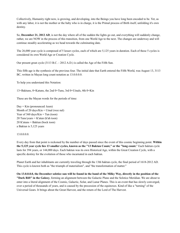Collectively, Humanity right now, is growing, and developing, into the Beings you have long been encoded to be. Yet, as with any labor, it is not the mother or the baby who is in charge, it is the Primal process of Birth itself, unfolding it's own destiny.

So, **December 21, 2012 AD**, is not the day where all of the sudden the lights go out, and everything will suddenly change, rather, we are NOW in the process of this transition, from one World Age to the next. The changes are underway and will continue steadily accelerating as we head towards the culminating date.

The 26,000 year cycle is composed of 5 lesser cycles, each of which are 5,125 years in duration. Each of these 5 cycles is considered its own World Age or Creation Cycle.

Our present great cycle (3113 B.C. - 2012 A.D.) is called the Age of the Fifth Sun.

This fifth age is the synthesis of the previous four. The initial date that Earth entered the Fifth World, was August 13, 3113 BC, written in Mayan long count notation as 13.0.0.0.0.

To help you understand this Notation:

13=Baktuns, 0=Katuns, the 2nd 0=Tuns, 3rd 0=Uinals, 4th 0=Kin

These are the Mayan words for the periods of time:

Day = Kin (pronounced: keen) Month of 20 days/Kin  $=$  Uinal (wee nal) Year of 360 days/Kin  $=$  Tun (toon)  $20$  Tuns/years = K'atun (k'ah toon) 20 K'atuns = Baktun (bock toon) a Baktun is 5,125 years

#### 13.0.0.0.0.

Every day from that point is reckoned by the number of days passed since the event of this cosmic beginning point. **Within the 5,125 year cycle lies 13 smaller cycles, known as the "13 Baktun Count," or the "long count.**" Each baktun cycle lasts for 394 years, or 144,000 days. Each baktun was its own Historical Age, within the Great Creation Cycle, with a specific destiny for the evolution of those who incarnated in each baktun.

Planet Earth and her inhabitants are currently traveling through the 13th baktun cycle, the final period of 1618-2012 AD. This cycle is known both as "the triumph of materialism", and "the transformation of matter."

**On 13.0.0.0.0, the December solstice sun will be found in the band of the Milky Way, directly in the position of the "Dark Rift" in the Galaxy**, forming an alignment between the Galactic Plane and the Solstice Meridian. We are about to enter into a literal alignment of the Cosmic, Galactic, Solar, and Lunar Planes. This is an event that has slowly converged, over a period of thousands of years, and is caused by the precession of the equinoxes. Kind of like a "turning" of the Universal Gears. It brings about the Great Harvest, and the return of the Lord of The Harvest.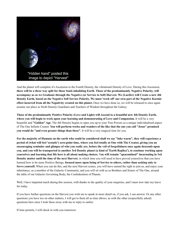

And the planet will complete it's Ascension to the Fourth Density, the vibrational Density of Love. During this Ascension, **there will be a three way split for those Souls inhabiting Earth**. **Those of the predominantly Negative Polarity, will accompany us as we Graduate through the Negative (or Service to Self) Harvest. We (Lucifer) will Create a new 4th Density Earth, based on the Negative Self Service Polarity. We must 'work off' our own part of the Negative Karmic effect incurred from all the Negativity created on this planet.** Once we have done so, we will be released to once again assume our place as Sixth Density Guardians and Teachers of Wisdom throughout the Galaxy.

**Those of the predominantly Positive Polarity (Love and Light) will Ascend to a beautiful new 4th Density Earth, where you will begin to work upon your learning and demonstrating of Love and Compassion.** It will be a very beautiful and **"Golden" Age**. The 4th Density begins to open you up to your True Powers as a unique individualized aspect of The One Infinite Creator. **You will perform works and wonders of the like that the one you call "Jesus" promised you would do "and even greater things than these".** It will be a very magical time for you.

**For the majority of Humans on the earth who could be considered shall we say "luke warm", they will experience a period of (what will feel 'ecstatic') zero-point time, where you feel totally at One with The Creator, giving you an encouraging reminder and glimpse of who you really are, before the veil of forgetfulness once again descends upon you, and you will be transported to another 3rd Density planet (a kind of 'Earth Replica'), to continue working upon yourselves and learning that life here is all about making choices.** Y**ou will remain "quarantined" incarnating in 3rd Density matter until the time of the next Harvest**; in which time you will need to have proved yourselves that you have learned how to be more Positive Beings, **focused more upon being of Service to others, rather than seeking only to Serve yourself.** When you can do this, and the next Harvest comes, you will have earned the right to join us, and enjoy your inheritance, as a member of the Galactic Community, and you will sit with us as Brothers and Sisters of The One, around the table of our Galactic Governing Body, the Confederation of Planets.

Well, I have imparted much during this session, with thanks to the quality of your enquiries, and I must now take my leave for today.

If you have further questions on the Harvest you wish me to speak in more detail on, if you ask, I can answer. Or any other questions you have too on other matters, I will get to them all as time allows, as with the other (respectfully asked) questions here since I took these away with me to reply to earlier.

If time permits, I will check in with you tomorrow.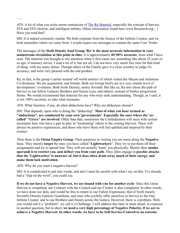ATS: A lot of what you write seems reminscent of [The Ra Material,](http://www.lawofone.info/) especially the concept of harvest, STS and STO choices, and intelligent infinity. (More information found here www.llresearch.org... ) Have you read that?

HH: It is indeed extremely similar. We both originate from the Source of the Infinite Creator, and we both remember where we come from. I would expect our messages to contain the same Core Truths.

The messages of the **Sixth Density Soul Group 'Ra' is the most accurate information in your mainstream circulation at this point in time**. It is approximately **85-90% accurate**, from what I have seen. The material was brought to my attention when it first came out, something like about 25 years or so ago, if memory serves. I read a lot of it, but not all. I do not have very much free time for that kind of thing, with my many duties. Though others of the Family gave it a close scrutiny to judge it's accuracy, and were very pleased with the end product.

Ra, in fact, is the group I earlier termed 'off world entities' of which visited the Mayan and Atlantean Civilizations. We are acquainted, and friends. Both our Group Soul's are at a very similar level of development / evolution. Both Sixth Density, nearly Seventh. But like us, Ra also chose the path of Service to our fellow Galactic Brothers and Sisters (you, and others), instead of further progression Home. We would recommend that material for any who truly seek understanding. Though, as I said, it is not 100% accurate, so take what resonates.

ATS: What function, if any, do alien abductions have? Why are abductees chosen?

HH: That depends, upon who is doing the "abducting". **Most of what you hear termed as "abductions", are conducted by your own 'governments'**. **Especially the ones where the 'socalled' "Greys" are involved**. Other than that, sometimes the Confederation will meet with certain incarnates here who have a part to play in "awakening" others to the coming Harvest. These will always be positive experiences, and those who have them will feel uplifted and inspired by their contact.

Then there is the **Orion Empire Group**. Their purposes in visiting you are more along the **Negative** lines. They mainly **target** the ones you have called "**Lightworkers**". They try to put them off their assignments and try to spread fear. They will not actually 'harm' you physically. Mainly their **modus operandi is to restrict you, and deflect you from your path**. They often engage in **psychic attacks that the 'Lightworker' is unaware of, but it does often drain away much of their energy, and make them lack motivation**.

ATS: Why do you want a negative harvest?

- - -

HH: It is complicated to put into words, and also I must be careful with what I say on this. I've already had a "slap on the wrist", you could say.

**If we do not have a Negative Harvest, we are bound with you for another cycle**. Once this Great Harvest is completed, our Contract with the Council and our Creator is also completed. In other words, we have done our duty, and would be free to return to our Fullest Expression, that of Sixth (nearly Seventh) Density Galactic Guardians, and ones who joyfully offer ourselves in Service to the One Infinite Creator, and to our Brothers and Sisters across the Galaxy. However, there is a problem. Well, you would call it a "problem", we call it a Challenge. I will address this later in more detail, in response to another question, but in short, **we need a very high percentage of Negative Polarity, if we are to achieve a Negative Harvest. In other words, we have to be Self-Service-Centred to an extreme**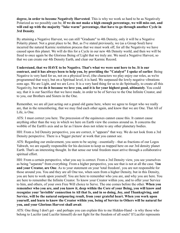**degree, in order to become Negatively Harvested**. This is why we work so hard to be as Negatively Polarized as we possibly can be, **If we do not make a high enough percentage, we will miss out, and will end up with the majority "luke warm" percentage, that have to go through another Cycle in 3rd Density**.

By attaining a Negative Harvest, we can still "Graduate" to 4th Density, only it will be a Negative Polarity planet. Not a great place to be. But, as I've stated previously, we (as a Group Soul) have incurred the natural Karmic restitution process that we must work off, for all the Negativity we have caused upon this planet. We will do this for a Cycle in our new 4th Density world, and then we will be freed to once again be the Glorious Being of Light that we truly are. We need a Negative Harvest, so that we can create our 4th Density Earth, and clear our Karmic Record.

**Understand, that we HAVE to be Negative. That's what we were sent here to be. It is our contract, and it has always been to help you, by providing the "Catalyst" I spoke of earlier**. Being Negative is very hard for us, not on a physical level, (the characters we play enjoy our roles, as we're programmed that way), but on a Spiritual level, it is hard. We surpassed the lowly negative vibrations eons ago. We are Light, and we are Love. It is a very hard thing for us to do Spiritually, to create all this Negativity, but **we do it because we love you, and it is for your highest good, ultimately**. You could say, that it is our Sacrifice that we have made, in order to be of Service to the One Infinite Creator, and to you, our Brothers and Sisters in the One.

Remember, we are all just acting out a grand old game here, where we agree to forget who we really are, that in the remembering, that we may find each other again, and know that we are One. That All of Life, is One.

ATS: I must correct you here. The precession of the equinoxes cannot cause this. It cannot cause anything other than the way in which we here on Earth view the cosmos around us. It concerns the wobble of the Earth's axis and as far as I know does not relate to any other planetary bodies.

HH: From a 3rd Density perspective, you are correct, it "appears" that way. We do not look from a 3rd Density perspective. There is a 'bigger picture' at work that you cannot see.

ATS: Regarding our enslavement, you seem to be saying - essentially - that as fractions of our Logos Yahweh, we are equally responsible for his decision to keep us trapped here on our 3rd density planet Earth. That's an interesting thought. In that sense our total freedom must arrive through a collaborative spiritual effort.

HH: From a certain perspective, what you say is correct. From a 3rd Density view, you see yourselves as being "separate" from everything. From a higher perspective, you see that is not at all the case. Y**ou and your Creator, are One**. As to your statement on your 'total freedom', you are not responsible for those around you. You and they are all One too, when seen from a higher Density, but in this Density, you are here to work upon yourself. You are here to remember who you are, and why you are here. You are here to remember the Infinite Creator. To know your Creator within you, and to offer your Service to him, and others, of your own Free Will choice to Serve. The one comes before the other. **When you remember who you are, and you know it, deep within the Core of your Being, you will know and recognize your 'invisible' connection to All that Is, and in so doing, Joy, and Thanksgiving, and Service, will be the natural outpouring result, from your grateful heart. When you work upon yourself, and learn to know the Creator within you, being of Service to Others will be natural for you, and your Glorious Harvest shall await**.

ATS: One thing I don't get - and perhaps you can explain this to me Hidden-Hand - is why those who belong to Lucifer (and Lucifer himself) do not fight for the freedom of all souls? If Lucifer represents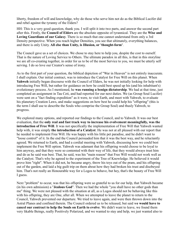liberty, freedom of will and knowledge, why do those who serve him not do as the Biblical Lucifer did and rebel against the tyranny of the Elders?

HH: This is a very good question, thank you. I will split it into two parts, and answer the second part after this. Firstly, the **Council of Elders** are the absolute opposite of tyrannical. They are the **Wise and Loving Guardians of our Galaxy**. There is so much that one cannot understand from only a 3rd Density perspective. When you reach higher Densities, you see that ultimately, everything balances, and there is only Unity. **All else than Unity, is Illusion, or 'thought-form'**.

The Council gave us a set of choices. We chose to stay here to help you, despite the cost to ourself. That is the nature of Loving Service to Others. The ultimate paradox in all this, is that in this storyline we are all co-creating together, in order for us to be of the most Service to you, we must be utterly self serving. I do so love our Creator's sense of irony.

As to the first part of your question, the biblical depiction of "War in Heaven" is not entirely inaccurate. I shall explain. Our initial contract, was to introduce the Catalyst for Free Will on this planet. When **Yahweh** initially began discourse with the Council of Elders, he was not initially looking for help with introducing Free Will, but rather for guidance on how he could best speed up his (and his inhabitant's) evolutionary process. As I mentioned, he **was running a benign dictatorship**. We had at that time, just completed an assignment in Tau Ceti, and had reported for our next duties. We (as Group Soul Lucifer) were sent on a "fact finding expedition" as it were, to visit Earth, and meet with Yahweh, to evaluate his planetary Creation Laws, and make suggestions on how best he could help his "offspring" (this is the term I shall use to describe the Souls who comprise the Group Soul) and thusly Yahweh, to progress.

We explored many options, and reported our findings to the Council, and to Yahweh. It was our best evaluation, that the **only real and fast track way to increase his evolvement meaningfully, was the introduction of Free Will**. It was not specifically the implementation of Free Will that Yahweh wanted help with, it was simply **the introduction of a Catalyst**. He was not at all pleased with our report that he needed to implement Free Will. He was happy with his little pet paradise, and he didn't want to "loose control" of it. In the end the Council persuaded him that it was the best way, and he reluctantly agreed. We returned to Earth, and had a cordial meeting with Yahweh, discussing how we could best implement the Free Will option. Yahweh was adamant that his offspring would choose to be loyal to him anyway, and that they were so contented with their way of life, that they would always trust him and do as he said was best. That, he said, was his "main reason" that Free Will would not work well as the Catalyst. That's why he agreed to the experiment of the Tree of Knowledge. He believed it would prove him "right". When it did not, he became angry, threw his toys out of the pram, and his offspring out of the garden, and laid a big guilt trip on them about how they had broken his trust and disobeyed him. That's not really an Honourable way for a Logos to behave, but hey, that's the beauty of Free Will I guess.

Next "problem" to occur, was that his offspring were so grateful to us for our help, that Yahweh became (in his own admission) a "**Jealous God**". Then we had the whole "you shall have no other gods than me" thing. We were not pleased with the situation at all, as a Logos should not be behaving like this with his offspring, they are One, after all. When we attempted to leave the planet to return to the Council, Yahweh prevented our departure. We tried to leave again, and were then thrown down into the Astral Planes and confined therein. The Council ordered us to be released, but said w**e would have to cancel our contract to help the Souls on Earth to evolve**. We didn't want to leave, we found them very likable Beings, really Positively Polarized, and we wanted to stay and help, we just wanted also to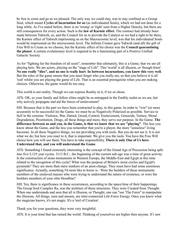be free to come and go as we pleased. The only way we could stay, was to stay confined as a Group Soul, which meant **Cycles of incarnation for us** (as individuated Souls), which we had not done for a long while. As I've stated before, there is no 'wrong' or 'right' seen from a Higher Density, but there are still consequences for every action. Such is the **law of Karmic effect**. The contract had already been made between Yahweh, us, and the Council for us to provide the Catalyst so we had a right to be there, the Karmic effect of Yahweh imprisoning us on the Macrocosmic level, was that his individuated Souls would be imprisoned on the microcosmic level. The Infinite Creator gave Yahweh (and all) the gift of Free Will to Create as we choose, but the Karmic effect of his choice was the **Council quarantining the planet**. A certain evolutionary level is required to be a functioning part of a Positive Unified Galactic Society.

As for "fighting for the freedom of all souls", remember that ultimately, this is a Game, that we are all playing here. We are actors, playing on the "stage of Life". This 'world' is all illusion, or 'though-form'. **No one really "dies", and no one is really hurt**. **In between incarnations, you know this very well**. But the rules of the game ensure that you must forget who you really are, so that you believe it is all 'real' whilst you are playing the game of Life. That is an essential prerequisite when you are making choices. Otherwise, the game would be too easy.

This world is not reality. Though we can express Reality in it, if we so chose.

ATS: OK, so your family and fellow elites might be as entrapped in the Earthly realm as we are, but why actively propagate and aid the forces of enslavement?

HH: Because that is the part we have been contracted to play, in this game. In order to "win" (or more accurately to be successful in) the Game, we must be as Negatively Polarized as possible. Service to Self in the extreme. Violence, War, Hatred, Greed, Control, Enslavement, Genocide, Torture, Moral Degradation, Prostitution, Drugs, all these things and more, they serve our purpose. In the Game. **The difference between us and you, in the Game, is that we know that we are "playing"**. The less you know about the Game, and the less you remember that you're a player, the more "senseless" living becomes. In all these Negative things, we are providing you with tools. But you do not see it. It is not what we do, but how you react to it, that is important. We give you the tools. You have the Free Will choice how you will use them. You have to take responsibility. **There is only One of Us here. Understand that, and you will understand the Game**.

ATS: Something I found extremely interesting is the concept of the Grand Age of Precession being split into five 5,125 year cycles. 3113 B.C., the beginning of the current sub-age was a time of great activity. Is the construction of stone monuments in Western Europe, the Middle-East and Egypt at this time related to the recogniton of this cycle? What was the purpose of Britain's stone circles and Egypt's pyramids? They are more than mere markers of an aeon-change. They must have had some enormous significance. Actually, something I'd most like to know is - Were the builders of these monuments members of the enslaved masses who were trying to understand the nature of existence, or were the builders members of your elite bloodline?

HH: Yes, there is significance in these occurrences, according to the space/time of their happenings. The Group Soul Complex Ra, was the architect of these structures. They were Created from Thought. When one understands and sees that all is Illusion, or Thought, one can "use 'The Force'' to manipulate the illusions. All things, seen and unseen, are inter-connected Life-Force Energy. Once you know what the magician knows, it's not magic. It's a 'tool of Creation'.

Thank you for your questions, they were very insightful.

ATS: It is your kind that has ruined the world. Thinking of yourselves are higher then anyone. If i saw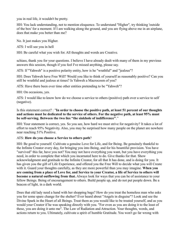you in real life, it wouldn't be pretty.

HH: You lack understanding, not to mention eloquence. To understand "Higher", try thinking 'outside of the box' for a moment. If I am walking along the ground, and you are flying above me in an airplane, does that make you better than me?

No. It just makes you Higher.

ATS: I will see you in hell

HH: Be careful what you wish for. All thoughts and words are Creative.

schiass, thank you for your questions. I believe I have already dealt with many of them in my previous answers this session, though if you feel I've missed anything, please say.

ATS: If "Yahweh" is a positive polarity entity, how is he "wrathful" and "jealous"?

HH: Does Yahweh have Free Will? Would you like to think of yourself as reasonably positive? Can you still be wrathful and jealous at times? Is Yahweh a Macrocosm of you?

ATS: Have there been over time other entities pretending to be "Yahweh"?

HH: On occasions, yes.

ATS: I would like to know how do we choose a service to others (positive) path over a service to self (negative).

# Is this statement correct? : "**In order to choose the positive path, at least 51 percent of our thoughts and actions must be dedicated to the service of others. For the negative path, at least 95% must be self-serving. Between the two lies "the sinkhole of indifference"**."

HH: Your statement is correct, yes. So you see, how hard we must strive for negativity? It takes a lot of effort to reach 95% Negativity. Also, you may be surprised how many people on the planet are nowhere near reaching 51% Positive.

# ATS: **How do you choose a Service to others path**?

HH: Be good to yourself. Cultivate a genuine Love for Life, and for Being. Be genuinely thankful to the Infinite Creator every day, for bringing you into Being, and for his bountiful provision. You have "survived" this far, have you not? You may not have everything you want, but you have everything you need, in order to complete that which you incarnated here to do. Give thanks for that. Show acknowledgment and gratitude to the Infinite Creator, for all that It has done, and is doing for you. It has given you the gift of Life Experience, and offered you the Free Will to decide what you will Create with it. Guard your thoughts carefully, as they are more powerful than you may imagine. **When you are coming from a place of Love for, and Service to your Creator, a life of Service to others will become a natural outflowing from that.** Always look for ways that you can be of assistance to your fellow Beings. Being of encouragement to others. Build people up, and do not put people down. Be a beacon of light, in a dark world.

Does that old lady need a hand with her shopping bags? How do you treat the homeless man who asks you for some spare change for the shelter? Ever heard about "Angels in disguise"? Look and see the Divine Spark in the Heart of all Beings. Treat them as you would like to be treated yourself, and as you would your Creator if he was speaking directly with you. "For even as you are doing it to the least of these, you are doing it unto me". The Law of Radiation and Attraction. Your thoughts, words, and actions return to you. Ultimately, cultivate a spirit of humble Gratitude. You won't go far wrong with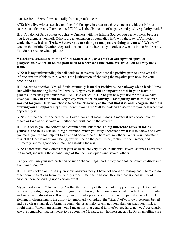that. Desire to Serve flows naturally from a grateful heart.

ATS: If we live with a "service to others" philosophy in order to achieve oneness with the infinite source, isn't that really "service to self"? How is the distinction of negative and positive polarity made?

HH: You do not Serve others to achieve Oneness with the Infinite Source, you Serve others, because you love them, as yourself. Others, are an extension of yourself. That's why the Law of Attraction works the way it does. **Truly, whatever you are doing to me, you are doing to yourself**. We are All One, in the Infinite Creation. Separation is an illusion, because you only see what is in the 3rd Density. You do not see the whole picture.

# **We achieve Oneness with the Infinite Source of All, as a result of our upward spiral of progression. We are all on the path back to where we came from. We are All on our way back Home**.

ATS: It is my understanding that all souls must eventually choose the positive path to unite with the infinite creator. If this is true, what is the justification of choosing the negative path now, for your people and us?

HH: An astute question. Yes, all Souls eventually learn that Positive is the pathway which leads Home. But whilst incarnating in the 3rd Density, **Negativity is still an important tool in your learning process**. It teaches you "other than". As I said earlier, it is up to you how you use the tools we have given you. **Do you respond to Negativity with more Negativity? Has fighting fire with fire ever worked for you?** Or do you choose to see the Negativity as t**he tool that it is, and recognize that it is offering you an opportunity?** I will honour your Free Will to think and discover for yourself what that opportunity is.

ATS: Or if the one infinite creator is "Love", does that mean it doesn't matter if we choose love of others or love of ourselves? Will either path will lead to the source?

HH: In a sense, you are correct, to a certain point. But there is a **big difference between loving yourself, and being selfish**. A big difference. When you truly understand what it is to Know and Love 'yourself', you cannot help but to Love and Serve others. There are no 'others'. When you understand this, at the Core level of your Being, you will be on the path Home, to the Infinite Creator, and ultimately, submergence back into The Infinite Oneness.

ATS: I agree with many others that your answers are very much in line with several sources I have read in the past, including the channellings of Ra, the Cassiopians and several others.

Can you explain your interpretation of such "channellings" and if they are another source of disclosure from your people?

HH: I have spoken on Ra in my previous answers today. I have not heard of Cassiopians. There are no other communications from my Family at this time, than this one, though there is a possibility of another soon, depending upon certain events.

My general view of "channellings" is that the majority of them are of very poor quality. That is not necessarily a slight against those bringing them through, but more a matter of their lack of receptivity and subsequent distortions. It is very rare, to find a good, stable, clear, and impartial channel. The key element in channeling, is the ability to temporarily withdraw the "filters" of your own personal beliefs and be a clear channel. To bring through what is actually given, not your slant on what you think it might mean. When I am saying 'you', I mean this in a general term of course here, not 'you' personally. Always remember that it's meant to be about the Message, not the messenger. The Ra channellings are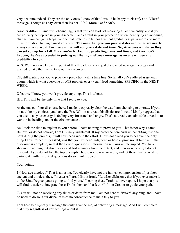very accurate indeed. They are the only ones I know of that I would be happy to classify as a "Clear" message. Though as I say, even then it's not 100%. More like 85-90%.

Another difficult issue with channeling, is that you can start off recieving a Positive entity, and if you are not very perceptive in your discerment and careful in your protection when identifying an incoming channel, you can get a Negative one that pretends to be positive, but gradually slips in more and more misinformation, having gained your trust. **The ones that give you precise dates and times are nearly always ones to avoid. Positive entities will not give a date and time. Negative ones will do, so they can set you up for a fall. Once you're tricked into predicting dates and times, and they don't happen, they've succeeded in putting out the Light of your message, as no one will see any credibility in you**.

ATS: Well, now we know the point of this thread, someone just discovered new age theology and wanted to take the time to type out his discovery.

OP, still waiting for you to provide a prediction with a time line. So far all you've offered is general doom, which is what everyone on ATS predicts every year. Need something SPECIFIC in the NEXT WEEK.

Of course I know you won't provide anything. This is a hoax.

HH: This will be the only time that I reply to you.

At the outset of our discourse here, I made it expressly clear the way I am choosing to operate. If you do not like my choices, you have the Free Will to not read this disclosure. I would kindly suggest that you use it, as your energy is feeling very frustrated and angry. That's not really an advisable direction to want to be heading, under the circumstances.

As I took the time to explain to you before, I have nothing to prove to you. That is not why I came. Believe, or do not believe, I am Divinely indifferent. If my presence here ends up benefiting just one Soul during the process, it will have been worth the effort. I have not asked you to believe, the only thing I have respectfully asked, was that you 'suspend judgment' or hold a 'provisional faith' until the discourse is complete, so that the flow of questions / information remains uninterrupted. You have shown me nothing but discourtesy and bad manners from the outset, and then wonder why I do not respond. If you do not like the topic, simply choose not to read or reply, and let those that do wish to participate with insightful questions do so uninterrupted.

# Your points:

1) New age theology? That is amusing. You clearly have not the faintest comprehension of just how ancient and timeless these "mysteries" are. I find it ironic "LowLevelMason", that if you ever make it to the 32nd Degree, you're going to find yourself hearing these Truths all over again. I hope that you will find it easier to integrate these Truths then, and I ask our Infinite Creator to guide your path.

2) You will not be receiving any times or dates from me. I am not here to "Prove" anything, and I have no need to do so. Your disbelief is of no consequence to me. Only to you.

I am here to diligently discharge the duty given to me, of delivering a message. And I will complete that duty regardless of you feelings about it.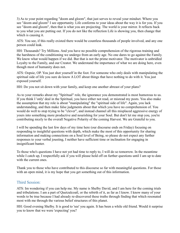3) As to your point regarding "doom and gloom", that just serves to reveal your mindset. Where you see "doom and gloom" I see opportunity. Life conforms to your ideas about the way it is for you. If you see "doom and gloom", then that is what you are projecting. The world is your mirror. It reflects back to you what you are putting out. If you do not like the reflection Life is showing you, then change that which is causing it.

ATS: You see, if this really existed there would be countless thousands of people involved, and any one person could leak.

HH: Thousands? Try Millions. And you have no possible comprehension of the rigorous training and the harshness of the conditioning we undergo from an early age. No one dares to go against the Family. We know what would happen if we did. But that is not the prime motivator. The motivator is unbridled Loyalty to the Family, and our Creator. We understand the importance of what we are doing here, even though most of humanity does not.

ATS: Oopsie, OP. You just shot yourself in the foot. For someone who only deals with manipulating the spiritual side of life you sure do know A LOT about things that have nothing to do with it. You just exposed yourself.

HH: Do you not sit down with your family, and keep one another abreast of your plans?

As to your remarks about my "Spiritual" role, the ignorance you demonstrated is most humorous to us. If you think I 'only' deal in the Spiritual, you have either not read, or misread my posts. You also make the assumption that my role is about "manipulating" the "spiritual side of life". Again, you lack understanding, and then make false judgments about that which you have no comprehension of. You would do well to stop trying to be "clever", and instead channel all this misplaced aggressive energy of yours into something more productive and nourishing for your Soul. But don't let me stop you, you're contributing nicely to the overall Negative Polarity of the coming Harvest. We are Grateful to you.

I will be spending the last few days of my time here (our discourse ends on Friday) focusing on responding to insightful questions with depth, which make the most of this opportunity for sharing information and making connections on a Soul level of Being, so please do not expect any further responses to your verbal jousting, I neither have sufficient time or inclination for engaging in insignificant banter.

To those who's questions I have not yet had time to reply to, I will do so tomorrow. In the meantime while I catch up, I respectfully ask if you will please hold off on further questions until I am up to date with the current ones.

Thank you to those who have contributed to this discourse so far with meaningful questions. For those with an open mind, it is my hope that you get something out of this information.

# Third Session:

ATS: Im wondering if you can help me. My name is Shelby David, and I am here for the coming trials and tribulations. I am a part of Quetzalcoatl, or the rebirth of it, as far as I know. I know many of your words to be true because I had already re-discovered these truths through finding that which resonated most with me through the various belief structures of this planet.

HH: Good evening Shelby. It is good to 'see' you again. It has been a while old friend. Would it surprise you to know that we were 'expecting' you?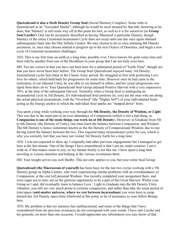**Quetzalcoatl is also a Sixth Density Group Soul** (Social Memory Complex). Some refer to Quetzalcoatl as an "Ascended Master", although he would be most amused by that title, knowing as he does, that 'Mastery' is still some way off at this point for him, as well as it is for ourselves (as **Group Soul Lucifer**). One can be accurately described as having 'Mastered' a particular Density, though Mastery of the entire Creational incarnation Cycle does not occur until one has once again attained submergeance back into the One Infinite Creator. We may choose to do so once attaining 8th Density ascension, or, once may choose instead to progress up to the next Octave of Densities, and begin a new cycle of Creational incarnation challenges.

ATS: This is my first time on earth in a long time, possibly ever. I have known for quite some time and been told by another from one of the bloodlines in your group that I do not truly exist here.

HH: You are correct in that you have not been here for a substantial period of "Earth-Time", though not that you have never been here before. The Group Soul Quetzalcoatl enjoyed many 3rd Density incarnational cycles here back in the Classic Aztec period. He struggled at first with perfecting Love love for others, which held back his progression for some time. However once he had came to the realization of our inherant Unity, he was able to see himself in others, and his (your) progression was rapid from there on in. Your Quetzalcoatl Soul Group attained Positive Harvest with a very impressive 76%, at the time of the subsequent Harvest. Naturally, when a Group Soul is undergoing an incarnational cycle in 3rd Density, It's individualized Soul portions (ie, you) are the ones who are doing the actual physical incarnations, with the "OverSoul" (the "Higher Self") of your individuated Souls acting as the Energy anchor in which the individual Soul sparks are "stepped down" from.

You spent a long while working your way through the **5th Density, the Density of Wisdom, or Light**. This was due in the main part to an over abundance of Compassion (which is not a bad thing, as **Compassion is one of the main things you work on at 4th Density**). However, to Graduate from 5th to 6th Density (the Density of Unity), one must learn the balance between Compassion, and Wisdom. The 6th Density is hence sometimes known as the the Density of Compassionate Wisdom, due to one having learnt the balance between the two. This required many incarnational cycles for you, which is why you correctly feel that you have not visited 3rd Density Earth for a long time.

ATS: I was not expected to show up, I originally had other previous engagements but I managed to get here at the last minute. One of the things I have remembered is that I am too under contract. I am a walk-in, if that makes sense to you, so my human family is not like me. I have spent a long time traveling to various densities and helping in the various revolutions there.

HH: Your insight serves you well Shelby. This not only applies to you, but your entire Soul Group.

**Quetzalcoatl (the Macrocosm of yourself)** has been busy for the last two cycles working with a 5th Density group on Alpha Centuri, who were experiencing similar problems with an overabundance of Compassion, at the cost [of] personal Wisdom. You recently completed your assignment there, and were eager not to miss out on the glorious opportunity to be a part of this Great Harvest. Whilst your Group as I said, did eventually learn to balance Love / Light to Graduate into the 6th Density Unity vibration, you still are very much prone to extreme compassion, and rather than take the usual period of time/space (**anti-matter universe, where we rest between incarnations**) you were keen to jump aboard this 3rd Density space/time whirlwind at this point, to be of assistance to your fellow Beings here.

ATS: My problem is that my memory has malfunctioned, and some of the things that I have remembered from my previous existences do not correspond with your words. I have met Lucifer and his generals, on more than one occasion. I would appreciate any information you may know of that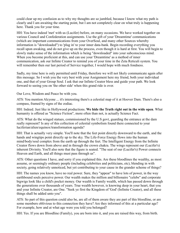could clear up my confusion as to why my thoughts are so jumbled, because I know what my path is clearly and I am awaiting the starting point, but I am not completely clear on what truly is happening here. Thank you for your time.

HH: You have indeed 'met' with us (Lucifer) before, on many occasions. We have worked together on various Council and Confederation assignments. Use the gift of your 'Dreamtime' communications (which are important communications from your OverSoul, and many other Sources whereby information is "downloaded") to 'plug in' to your inner data-bank. Begin recording everything you recall upon awaking, and do not give up on the process, even though it is hard at first. You will begin to slowly make sense of the information which is being "downloaded" into your subconscious mind. When you become proficient at this, and can use your 'Dreamtime' as a method of inner communication, ask our Infinte Creator to remind you of your time in the Zeta Reticuli system. You will remember then our last period of Service together, I would hope with much fondness.

Sadly, my time here is only permitted until Friday, therefore we will not likely communicate again after this message. So I wish you the very best with your Assignment here my friend, both your individual one, and that of your Group Soul. I ask that our Infinte Creator bless and guide your path. We look forward to seeing you on 'the other side' when this grand ride is over.

Our Love, Wisdom and Peace be with you.

ATS: You mention Alcyone ... it's interesting there's a celestial map of it at Hoover Dam. There's also a compass, framed by signs of the zodiac.

HH: Indeed. Just like in Hollywood productions. **We hide the Truth right out in the wide open**. What humanity is offered as "Science Fiction", more often than not, is actually Science Fact.

ATS: What do the winged statues, commissioned by the U.S govt, guarding the entrance at the dam really represent? Is any of this collection of celestial symbolism found there connected to your luciferian/alien/equinox/transformation agenda?

HH: That is actually very simple. You'll note that the feet point directly downward to the earth, and the hands and wingtips point directly up to the sky. The Life-Force Energy flows into the human mind/body/soul complex from the earth up through the feet. The Intelligent Energy from the Infinite Creator flows down from above and in through the crown chakra. The wings represent our (Lucifer's) inherent Divinity. You'll also note that the figure is seated. "The seat of our (Lucifer's) Power connects Heaven and Earth, and all things must pass through us".

ATS: Other questions I have, and sorry if you explained this. Are these bloodlines the wealthy, as most assume, or seemingly ordinary people (including celebrities and politicians, etc), blending in with society, going relatively unnoticed, but yet contributing to your cause in the grander scheme of things?

HH: The names you know, have no real power. Sure, they "appear" to have lots of power, in the way earthbound souls perceive power. Our wealth makes the million and billionaire "celebs" and corporate bigwigs look like a child's pocket money. Our wealth is Family wealth, which has passed down through the generations over thousands of years. True wealth however, is knowing deep in your heart, that you and your Infinite Creator, are One. "Seek ye first the Kingdom of 'God' (Infinite Creator), and all these things shall be added unto you".

ATS: So part of this question could also be, are all of them aware they are part of this bloodline, or are some members oblivious to this connection they have? Are they informed of this at a particular age? For example, how and at what age were you told you belonged?

HH: Yes. If you are Bloodline (Family), you are born into it, and you are raised this way, from birth.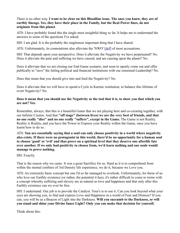There is no other way. **I want to be clear on this Bloodline issue. The ones you know, they are of earthly lineage. Yes, they have their place in the Family, but the Real Power lines, do not originate from this planet**.

ATS: I have probably found this the single most insightful thing so far. It helps me to understand the answers to some of the questions I've asked.

HH: I am glad. It is the probably the singlemost important thing that I have shared.

ATS: Unfortunately, its connotations also alleviate the 'NWO' [\[def\]](http://illuminati-news.com/00363.html#ii) of most accusations.

HH: That depends upon your perspective. Does it alleviate the Negativity we have perpetuated? No. Does it alleviate the pain and suffering we have caused, and are causing upon the planet? No.

Does it alleviate that we are closing our End Game scenario, and soon to openly come out and offer publically to "save" the failing political and financial institutions with our esteemed Leadership? No.

Does that mean that you should give into and feed the Negativity? No.

Does it alleviate that we will have to spend a Cycle in Karmic restitution, to balance this lifetime of overt Negativity? No.

# **Does it mean that you should use the Negativity as the tool that it is, to show you that which you are not? Yes.**

Remember, always, that this is a beautiful Game that we are playing here and co-creating together, with our Infinite Creator. And that **"off stage" (between lives) we are the very best of friends, and that no one really "dies" and no one really "suffers", except in the Game.** The Game is not Reality. Reality is Reality, and you have the Power to Express your Reality within the Game, once you have learnt how to do so.

ATS: **You are essentially saying that a soul can only choose positivity in a world where negativity also exists. If there were no protagonist in this world, there'd be no opportunity for a human soul to choose 'good' or 'evil' and thus prove on a spiritual level that they deserve one afterlife fate over another. If we only had positivity to choose from, we'd learn nothing and our souls would manage to prove nothing.**

HH: Exactly.

That is the reason why we came. It was a great Sacrifice for us. Hard as it is to comprehend from within the mental confines of 3rd Density life experience, we do it, because we Love you.

ATS: An extremely basic concept but one I'd so far managed to overlook. Unfortunately, for those of us who love our Earthly existence (or rather, the potential it has), it's rather difficult to come to terms with a concept whereby suffering and slavery are as natural as love and happiness and that only after this Earthly existence can we ever be free.

HH: I understand. Our job is to provide the Catalyst. Your's is to use it. Can you look beyond what your eyes are showing you, to find and express Love and Happiness in a world of Fear and Distress? If you can, you will be as a Beacon of Light into the Darkness. **Will you succumb to the Darkness, or will you stand and shine your Divine Inner Light? Only you can make that decision for yourself.**

Think about this: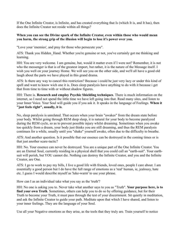If the One Infinite Creator, is Infinite, and has created everything that Is (which It is, and It has), then does the Infinite Creator not reside within all things?

# **When you can see the Divine spark of the Infinite Creator, even within those who would mean you harm, the strong grip of the illusion will begin to lose it's power over you.**

"Love your 'enemies', and pray for those who persecute you".

ATS: Thank you Hidden Hand. Whether you're genuine or not, you've certainly got me thinking and learning.

HH: You are very welcome. I am genuine, but, would it matter even if I were not? Remember, it is not who the messenger is that is of the greatest import, but rather, it is the nature of the Message itself. I wish you well on your journey Home. We will see you on the other side, and we'll all have a good old laugh about the parts we have played in this grand drama.

ATS: Is there any way to cancel this restriction? Because i could be just very lazy or under this kind of spell and want to know wich one it is. Does sleep paralysis have anything to do with it because i get that from time to time with or without shadow figures.

HH: There is. **Research and employ Psychic Shielding techniques**. There is much information on the internet, so I need not spend the little time we have left going into that. Read many sites, and listen to your Inner Voice. Your Soul will guide you if you ask it. It speaks in the language of Feelings. **When it "just feels right", usually, it is**.

No, sleep paralysis is unrelated. That occurs when your brain "awakes" from the dream state before your body. Whilst going through REM deep sleep, it is natural for your body to become paralyzed during the REM cycle, so as to prevent possible injury whilst dreaming. Sometimes when you awake too quickly from a dream, your body just thinks you are still dreaming, and thus the REM paralysis continues for a while, usually until you "shake" yourself awake, often due to the difficulty to breathe.

ATS: And another question. Is it possible that our essence can be destroyed in the coming times or is that just another scare-tactic?

HH: No. Your essence can never be destroyed. You are a unique part of the One Infinite Creator. You are an Eternal Soul, currently residing in a physical shell that you could call an "earth-suit". Your earthsuit will perish, but YOU cannot die. Nothing can destroy the Infinite Creator, and you and the Infinite Creator, are One.

ATS: I go to work to pay my bills, I live a good life with friends, loved ones, people I care about. I am essentially a good person but I do have the full range of emotions as a 'real' human, ie, jealousy, hate etc. I guess I would describe myself as 'luke-warm' to use your phrase.

How can I as an individual take what you say as the 'truth'?

HH: No one is asking you to. Never take what another says to you as "Truth". **Your purpose here, is to find your own Truth**. Sometimes, others can help you to do so by offering guidance, but for their Truth to become your Truth, it must pass through the test of your discernment. Sit quietly in meditation, and ask the Infinite Creator to guide your path. Meditate upon that which I have shared, and listen to your inner feelings. They are the language of your Soul.

Use all your Negative emotions as they arise, as the tools that they truly are. Train yourself to notice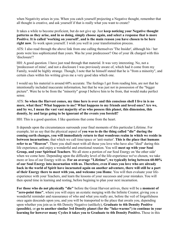when Negativity arises in you. When you catch yourself projecting a Negative thought, remember that all thought is creative, and ask yourself if that is really what you want to create?

It takes a while to become proficient, but do not give up. Just **keep noticing your Negative thought patterns as they arise, and in so doing, simply choose again, and select a response that is more Positive. It is called 'working on yourself', and is the main reason you have chosen to be here right now**. To work upon yourself. I wish you well in your transformation process.

ATS: I also read through the above link from one calling themselves 'The Insider', although his / her posts were less sophisticated than yours. Was he your predecessor? One of your ilk charged with this 'disclosure'?

HH: A good question. I have just read through that material. It was very interesting. No, not a 'predecessor of mine', and not a disclosure I was previously aware of, which had it come from my Family, would be highly strange. Though, I note that he himself stated that he is "from a minority", and certain clues within his writing gives me a very good idea which one.

I would say his material is around 60% accurate. The feelings I get from reading him, are not that he intentionally included inaccurate information, but that he was just not in possession of the "bigger picture". Were he to be from the "minority" group I believe him to be from, that would make perfect sense.

ATS: **So when the Harvest comes, my time here is over and this conscious shell I live in is no more, what then? What happens to me? What happens to my friends and loved ones? Are we, and by we, I mean the vast vast majority of us who possess this planet, this dimension, this density, by and large going to be ignorant of the events you foretell?**

HH: This is a good question. I like questions that come from the heart.

It depends upon the circumstances surrounds your final moments of this particular Lifetime. For example, let us say that the physical aspect of **you was to do the thing called "die" during the coming earth changes, you will immediately return to that wondrous realm in which we reside in between incarnations**, that which we call time/space or 'anti-matter'. **This is the place that humans refer to as "Heaven"**. There you shall meet with all those you love who have also "died" during this life experience, and enjoy a wonderful and emotional reunion. You will **meet up with your Soul Group, and your Spiritual Teachers**. We all store a portion of our Soul Energy on 'the other side' when we come here. Depending upon the difficulty level of the life-experience we've chosen, we take more or less of our Energy with us. **For an average "Lifetime", we typically bring between 60-80% of our Soul Energy into incarnation with us. Therefore, even if ones you love who are already back in the world of Spirit have incarnated again on another adventure, there will still be a part of their Energy there to meet with you, and welcome you Home**. You will then evaluate your lifeexperience with your Teachers, and learn the lessons of your successes and your mistakes. You will then spend time in learning and resting, before begining to plan your next incarnation.

**For those who do not physically "die"** before the Great Harvest arrives, there will be a **moment of "zero-point time"**, where you will enjoy an ecstatic merging with the Infinite Creator, giving you a wonderful reminder and reassurance of who and what you really are, before the veil of forgetfulness once again descends upon you, and you will be transported to the place that awaits you, depending upon whether you join us in 4th Density Negative (unlikely), **Graduate to 4th Density Positive (possible)**, or **go to another similar 3rd Density planet (for the "luke-warms") to continue in your learning for however many Cycles it takes you to Graduate to 4th Density Positive.** Those in this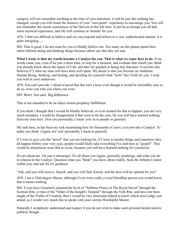category will not remember anything at the time of your transition, it will be just like nothing has changed, except you will retain the memory of your "zero-point" experience to encourage you. You will not remember the recent experiences of the Harvest in this life here. It just be as though you all had some mystical experience, and life will continue as 'normal' for you.

ATS: I find you difficult to believe and yet you respond and inform in a very sophisticated manner, it is quite intriguing.....

HH: That is good. I do not want for you to blindly believe me. Too many on this planet spend their entire lifetime doing and thinking things because others say that they are true.

**What I want, is that my words become a Catalyst for you. That is what we came here to do**. If my words cause you, even if for just a short time, to stop for a moment, and evaluate that which you 'think' you already know about the nature of Life, and take for granted as being true (because "everyone else believes it"), then my time will have been well spent. My desire is that you become an Authentic Human Being, thinking, and feeling, and deciding for yourself what "feels" like Truth for you. I wish you well in your endeavors.

ATS: You can't provide 1 shred of proof that this isn't a hoax even though it would be incredibly easy to do so, were you who you claim you were.

HH: Won't. Not can't. Big difference.

This is not intended to be an object lesson prophesy fulfillment.

If you think I thought that I would be blindly believed, or even wanted for that to happen, you are very much mistaken. I would be disappointed if that were to be the case, for you will have learned nothing from my time here. (Not you personally, I mean 'you' as in people in general).

My task here, as has been my task incarnating here for thousands of years, is to provide a Catalyst. To make you think. (Again, not 'you' personally, I mean in general).

If I were to give you the "proof" that you are looking for, if I were to predict things and tomorrow they all happen before your very eyes, people would likely take everything I've said here as "gospel". That would be disasterous were that to occur, because you will have learned nothing for yourselves.

It's not about me. I'm just a messenger. It's all about you (again, generally speaking), and what you do in relation to the Catalyst. Question what you "think" you know about reality. Seek the Infinite Creator within you, and ask for It's guidance.

"Ask, and you will receive. Search, and you will find. Knock, and the door will be opened for you".

ATS: I am a 32nd degree Mason, although if you were really a royal bloodline person you would know that it means nothing.

HH: If you have Genuinely attained the level of "Sublime Prince of The Royal Secret" through the Scottish Rite, or that of the "Order of the Knight's Templar" through the York Rite, and have not been taught of the Truths of Creation, then I would be very interested indeed to know which area Lodge you attend, as I would very much like to speak with your current Worshipful Master.

Naturally I completely understand and respect if you do not wish to make such personal details known publicly though.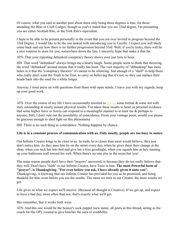Of course. what you said in another post about there only being three degrees is true, for those attending the Blue or Craft Lodges, though as you've stated that you are 32nd degree, I'm presuming you are either Scottish Rite, or the York Rite's equivalent.

I hope to be able to be present personally in the event that you are ever invited to progress beyond the 33rd Degree. I would like to be the one tasked with introducing you to Lucifer. I expect you will likely come back and say how there is no further progression beyond 33rd. Well, if you're lucky, there will be a nice surprise in store for you, somewhere down the line. I sincerely hope that make it that far.

ATS: That your repeating debunked conspiracy theory shows your just here to hoax.

HH: That word "debunked" always brings me a hearty laugh. Some people seem to think that throwing the word "debunked" around means that it really has been. The vast majority of "debunking" has more holes in it that the "conspiracy theories" it's meant to be silencing. Just enough of a "shell" to help those who really don't want the Truth to be True, to carry on believing that it's not, so they can replace their heads back into the sand for a while longer.

Anyway, I must press on with questions from those with open minds, I leave you with my regards, keep up your good work.

. . .

ATS: Over the course of my life I have occasionally resorted to [prayer](http://www.abovetopsecret.com/forum/thread402958/pg6#), some formal  $\&$  some not with truly astounding & nearly instant physical results. I've taken these results to heart as personal evidence that some higher force or forces can respond in a meaningful manner to at least me  $\&$  perhaps to anyone; Still, I don't rule out the possibility of coincidence. From your vantage point, would you please be gracious enough to shed light on this phenomena

HH: There is no such thing as coincidence. Nothing happens by chance.

# **Life is in a constant process of communication with us. Only mostly, people are too busy to notice.**

Our Infinite Creator longs to be close to us. In truth, he is closer than most would believe, they just don't notice him. As they pass him by on the street every day, when he gives them their change at the shop, when you tuck her into bed and give her a kiss goodnight, when you squash him as he's running up your bathroom wall toward his web. When there's no-one else in the room but 'you'.

The main reason people don't have their "prayers" answered, is because they do not really believe that they will. Don't have "faith" in our Infinite Creator, have Trust in him. **The most Powerful form of "prayer", is Thanksgiving. "For even before you ask, I have already given it unto you".** Thanksgiving, is knowing that our Infinite Creator has provided for you as he promised, and being thankful for that, even before you see the results. The more we trust in our Creator, the more results we get.

Life gives us what we expect we'll receive. (Because all thought is Creative). If we get up, and expect to have a bad day, more often than not, that's exactly what we'll get.

But remember, that it works both ways.

ATS: And this one would be the hoaxer's sock puppet (new name, all posts in this thread, acting as the coach for the OP), created to give him/her the aura of credibility.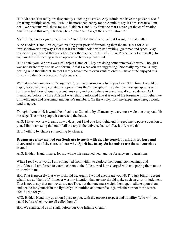HH: Oh dear. You really are desperately clutching at straws. Any Admin can have the power to see if I'm using multiple accounts. I would be more than happy for an Admin to say if I am. Because I am not. Two accounts will show for me. "Hidden-Hand", my first one that I never got the confirmation email for, and this one, "Hidden\_Hand", the one I did get the confirmation for.

My Infinite Creator gives me the only "credibility" that I need, or that I want, for that matter.

ATS: Hidden\_Hand, I've enjoyed reading your posts if for nothing then the unusual ( for ATS "whistleblowers" anyway ) fact that it isn't bullet holed with bad writing, grammer and typos. May I respectfully recomend that you choose another venue next time? ( I like ProjectCamelot myself ). In anycase I'm still reading with an open mind but sceptical mind.

HH: Thank you. We are aware of Project Camelot. They are doing some remarkable work. Though I was not aware they also have a forum, if that's what you are suggesting? Not really my area usually, dealing with the internet. In fact I rarely have time to even venture onto it. I have quite enjoyed this time of relating to others over "cyber-space".

Well, if you're game for an "assignment", or maybe someone else if you haven't the time, I would be happy for someone to collate this topic (minus the "interruptions") so that the message appears with just the actual flow of questions and answers, and post it there in one piece, if you so desire. As I mentioned before, I chose ATS as I was reliably informed that it is one of the forums with a higher rate of intelligence and reasoning amongst it's members. On the whole, from my experience here, I would tend to agree.

Though if you think it would be of value to Camelot, by all means you are most welcome to spread this message. The more people it can reach, the better.

ATS: I have very few dreams now a days, but I had one last night, and it urged me to pose a question to you. I find it amazing that out of all the topics the universe has to offer, it offers me this

HH: Nothing by chance sir, nothing by chance.

# **Dreams are a key method our Souls use to speak with us. The conscious mind is too busy and distracted most of the time, to hear what Spirit has to say. So It tends to use the subconscious instead.**

ATS: Hidden Hand, I have, for my whole life searched near and far for answers to questions.

When I read your words I am compelled from within to explore their complete meanings and truthfulness. I am forced to examine them to the fullest. And I am charged with comparing them to the truth within me.

HH: That is precisely that way it should be. Again, I would encourage you NOT to just blindly accept what I say as "the truth". It never was my intention that anyone should make such an error in judgment. That is not to say that my words are not True, but that one must weigh them up, meditate upon them, and decide for yourself in the light of your intuition and inner feelings, whether or not these words "feel" True for you.

ATS: Hidden Hand, my question I pose to you, with the greatest respect and humility, Who will you stand before when we are all called home?

HH: We shall stand as all shall, before our One Infinite Creator.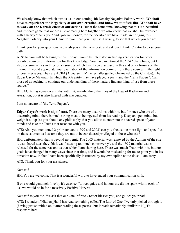We already know that which awaits us, in our coming 4th Density Negative Polarity world. **We shall have to experience the Negativity of our own creation, and know what it feels like. We shall have to work off the Karmic effect of our actions**. But at the same time, knowing that this is a beautiful and intricate game that we are all co-creating here together, we also know that we shall be rewarded with a hearty "thank you" and "job well done", for the Sacrifice we have made, in bringing this Negative Polarity into your Game for you, that you may use it wisely, to see that which you are not.

Thank you for your questions, we wish you all the very best, and ask our Infinite Creator to bless your path.

ATS: As you will be leaving us this Friday I would be interested in finding verification for other possible sources of information for this knowledge. You have mentioned the "RA" chanelings, but I also see similarities in three other sources which have been discussed in this and other forums on the internet. I would appreciate your evaluation of the information coming from these sources in the light of your messages. They are ACIM (A course in Miracles, alledgedled channeled by the Christos), The Edgar Cayce Material (In which the RA entity may have played a part), and the "Terra Papers". Can those of us seeking to continue our understanding of these matters find anything of use from these sources?

HH: ACIM has some core truths within it, mainly along the lines of the Law of Radiation and Attraction, but it is also littered with inaccuracies.

I am not aware of "the Terra Papers".

**Edgar Cayce's work is significant.** There are many distortions within it, but for ones who are of a discerning mind, there is much strong meat to be ingested from it's reading. Keep an open mind, but weigh it all up (as you should any philosophy that you allow to enter into the sacred space of your mind) and take the Truths that resonate with you.

ATS: Also you mentioned 2 prior contacts (1999 and 2003) can you shed some more light and specifics on those sources as I assume they are not to be considered privileged to those who ask?

HH: Unfortunately that is beyond my remit. The 2003 material was removed by the Admins of the site it was shared at as they felt it was "causing too much controversy", and the 1999 material was not released for the same reasons as that which I am sharing here. There was much Truth within it, but our goals have changed in many ways since that time, and it would be misleading for me to point you in it's direction now, in fact I have been specifically instructed by my own upline not to do so. I am sorry.

ATS: Thank you for your assistance,

# Namasté

HH: You are welcome. That is a wonderful word to have ended your communication with.

If one would genuinely live by it's essence, "to recognize and honour the divine spark within each of us" we would be in for a massively Positive Harvest.

Namasté to you too. We ask that our One Infinite Creator blesses you, and guides your path.

ATS: I wonder if Hidden\_Hand has read something called The Law of One. I've only picked through it (having just stumbled on it after reading these posts)...but it reads remarkably similar to H\_H's responses here.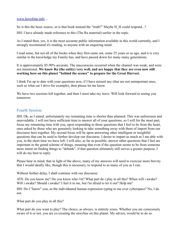# [www.lawofone.info](http://www.lawofone.info/) ...

So is this the hoax source, or is that book instead the "truth?" Maybe H\_H could respond...?

HH: I have already made reference to this (The Ra material) earlier in the topic.

As I stated then, yes, it is the most accurate public information available in this world currently, and I strongly recommend it's reading, to anyone with an enquiring mind.

I read some, but not all of the books when they first came out, some 25 years or so ago, and it is very similar to the knowledge my Family has, and have passed down for many many generations.

It is approximately 85-90% accurate. The inaccuracies occurred when the channel was weak, and were not intentional. **We know Ra (the entity) very well, and are happy that they are even now still working here on this planet "behind the scenes" to prepare for the Great Harvest.**

I think I'm up to date with your questions now, if I have missed any (that are not unimportant ones, such as what car I drive for example), then please let me know.

We have two sessions left together, and then I must take my leave. Will look forward to seeing you tomorrow.

# Fourth Session:

HH: Ok, as I stated, unfortunately my remaining time is shorter than planned. This was unforeseen and unavoidable. I will not have sufficient time to answer all of your questions, so I will for the most part, focus my remaining time with you, upon responding to those questions that I feel to be from the heart, ones asked by those who are genuinely looking to take something away with them of import from our discourse here together. My second focus will be upon answering other intelligent or insightful questions that can be used to further develop our discourse. I desire to impart as much as I am able with you, in the short time we have left. I will also, as far as possible, answer other questions that I feel are important in the grand scheme of things, meaning that even if the question seems to be from someone more intent on finding things to "debunk", if that question ultimately still serves a greater purpose, I will do my best to reply.

Please bear in mind, that in light of the above, many of my answers will need to exercise more brevity that I would ideally like, though this is necessary, to respond to as many of you as I can..

Without further delay, I shall continue with our discourse:

ATS: Do you know me? Do you know who i'm? What part do i play in all this? When will i awake? Will i awake? Should i awake? I feel it in me, but i'm afraid to let it out? Help me!

HH: Do I "know" you, as the individuated human expression typing to me over cyberspace? No, I do not.

What part do you play in all this?

What part do you want to play? The choice, as always, is entirely yours. Whether you are consciously aware of it or not, you are co-creating the storyline on this planet. My advice, would be to do so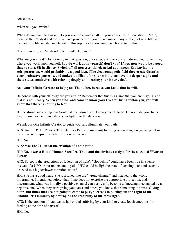consciously.

When will you awake?

When do you want to awake? Do you want to awake at all? If your answer to this question is "yes", then use the Catalyst and tools we have provided for you. I have made many subtle, not so subtle, and even overtly blatant statements within this topic, as to how you may choose to do this.

"I feel it in me, but i'm afraid to let it out? Help me!"

Why are you afraid? Do not reply to that question, but rather, ask it to yourself, during your quiet time, where you work upon yourself. **You do work upon yourself, don't you? If not, now would be a good time to start. Sit in silence. Switch off all non essential electrical appliances. Eg; leaving the refrigerator on, would probably be a good idea. (The electromagnetic field they create disturbs your brainwave patterns, and makes it difficult for your mind to achieve the deeper alpha and theta states conducive with relaxing deeply and hearing your inner voice).**

**Ask your Infinite Creator to help you. Thank her, because you know that he will.**

Be honest with yourself. Why are you afraid? Remember that this is a Game that you are playing, and that it is not Reality. **When you find, and come to know your Creator living within you, you will know that there is nothing to fear.**

Be the strong and courageous Soul that deep down, you know yourself to be. Do not hide your Inner Light. Trust yourself, and shine your light into the darkness.

We ask our One Infinite Creator to guide you, and illuminate your path.

ATS: Are the PTB [**Powers That Be,** *Wes Penre's comment*] focusing on creating a negative point in the universe to upset the balance of our universe?

 $HH: No$ 

# ATS: **Was the 911 ritual the creation of a star gate?**

# HH: **No, it was a Ritual Human Sacrifice. That, and the obvious catalyst for the so called "War on Terror".**

ATS: So could the predictions of federation of light's "Goodchild" could have been true in a sense instead of a UFO or our understanding of a UFO could be light bearers influencing mankind ascend / descend to a higher/lower vibration status?

HH: She has a good heart. She just tuned into the "wrong channel" and listened to the wrong programme. I mentioned before, that if one does not exercise the appropriate protection, and discernment, what was initially a positive channel can very easily become unknowingly corrupted by a negative one. When they start giving you dates and times, you know that something is amiss. **Giving dates and times that are not going to come to pass, succeeds in putting out the Light of the 'channeller's message, by destroying the credibility of the messenger.**

ATS: Is the creation of fear, terror, horror and suffering by your kind to create loosh emotions for feeding at the time of harvest?

HH: No.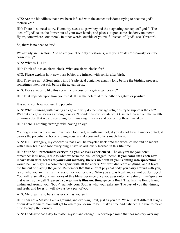ATS: Are the bloodlines that have been infused with the ancient wisdoms trying to become god's themselves?

HH: There is no need to try. Humanity needs to grow beyond the stagnating concept of "gods". The idea of "god" takes the Power out of your own hands, and places it upon some shadowy unknown figure, somewhere "out there". In other words, outside of yourself. Instead of "god", see "Creator".

So, there is no need to "try".

We already are Creators. And so are you. The only question is, will you Create Consciously, or subconsciously?

ATS: What is 11.11?

HH: Think of it as an alarm clock. What are alarm clocks for?

ATS: Please explain how new born babies are infused with spirits after birth.

HH: They are not. A Soul enters into It's physical container usually long before the birthing process, sometimes later, but still before the actual birth..

ATS: Does a website like this serve the purpose of negative generating?

HH: That depends upon how you use it. It has the potential to be either negative or positive.

It is up to you how you use the potential.

ATS: What is wrong with having an ego and why do the new age religions try to suppress the ego? Without an ego is seems as though one can't ponder his own existence. Or in fact learn from the wealth of knowledge that we are searching for in making mistakes and correcting those mistakes.

HH: There is nothing "wrong" with having an ego.

Your ego is an excellent and invaluable tool. Yet, as with any tool, if you do not have it under control, it carries the potential to become dangerous, and do you and others much harm.

ATS: H.H., strangely, my concern is that I will be recycled back onto the wheel of life and be reborn with a new brain and lose everything I have so arduously learned in this life time.

HH: **Your Soul remembers everything you've ever experienced**. The only reason you don't remember it all now, is due to what we term the "veil of forgetfulness". **If you came into each new incarnation with access to your Soul memory, there's no point in your coming into space/time**. It would be like playing a computer game with all the cheats. You wouldn't learn anything, and it takes the fun out of playing the game. Remember that this current physical body you carry around with you, is not who you are. It's just the vessel for your essence. Who you are, is Real, and cannot be destroyed. You will retain all your memories of this life experience once you pass onto the realm of time/space, or that which some call "Heaven". **space/time is illusion, time/space is Real**. That Infinite Being living within and around your "body", namely your Soul, is who you really are. The part of you that thinks, and feels, and loves. It will always be a part of you.

ATS: My dream is to be a master such as yourself.

HH: I am not a Master. I am a growing and evolving Soul, just as you are. We're just at different stages of our development. You will get to where you desire to be. It takes time and patience. Be sure to make time to enjoy the journey.

ATS: I endeavor each day to master myself and change. To develop a mind that has mastery over my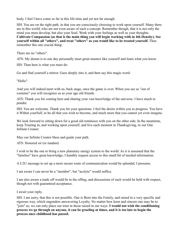body. I feel I have come so far in this life time and yet not far enough.

HH: You are on the right path, in that you are consciously choosing to work upon yourself. Many there are in this world, who are not even aware of such a concept. Remember though, that it is not only the mind you must develop, but also your Soul. Work with your feelings as well as your thoughts. **Cultivate Compassion (as that is the main thing you will begin working with in 4th Density). See yourself within all "others", and treat "others" as you would like to be treated yourself.** Then remember this one crucial thing:

There are no "others".

ATS: My dream is to one day personally meet great masters like yourself and learn what you know.

HH: Then here is what you must do:

Go and find yourself a mirror. Gaze deeply into it, and then say this magic word:

"Hello".

And you will indeed meet with us, back stage, once the game is over. When you see us "out of costume" you will recognize us as your age old friends.

ATS: Thank you for coming here and sharing your vast knowledge of the universe. I have much to ponder.

HH: You are welcome. Thank you for your questions. I feel the desire within you to progress. You have it Within yourSelf, to be all that you wish to become, and much more that you cannot yet even imagine.

We look forward to sitting down for a good old reminisce with you on the other side. In the meantime, keep Trusting in, and working upon yourself, and live each moment in Thanksgiving, to our One Infinite Creator.

May our Infinite Creator bless and guide your path.

ATS: Honored sir (or madam)

I wish to be the one to bring a new planetary energy system to the world. As it is assumed that the "families" have great knowledge, I humbly request access to this small bit of needed information.

A U2U message to set up a more secure route of communication would be splendid, I presume.

I am aware I can never be a "member", but "acolyte" would suffice.

I am also aware a trade off would be in the offing, and discussions of such would be held with respect, though not with guaranteed acceptance.

I await your reply.

HH: I am sorry, that this is not possible. One is Born into the Family, and raised in a very specific and rigorous way, which engenders unwavering Loyalty. No matter how keen and sincere one may be to "join" us, we can only place our trust in those raised in our ways. **I would not wish the conditioning process we go through on anyone, it can be grueling at times, and it is too late to begin the process once childhood has passed.**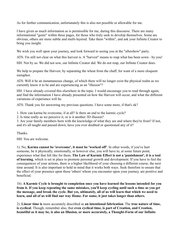As for further communication, unfortunately this is also not possible or allowable for me.

I have given as much information as is permissible for me, during this discourse. There are many informational "gems" within these pages, for those who truly seek to develop themselves. Some are obvious, others are more subtle and multi-layered. Take them "within", and ask your Infinite Creator to bring you insight.

We wish you well upon your journey, and look forward to seeing you at the "aftershow" party.

ATS: I'm still not clear on what this harvest is. A "harvest" means to reap what has been sown - by you!

HH: Not by us. We did not sow, our Infinite Creator did. We do not reap, our Infinite Creator does.

We help to prepare the Harvest, by separating the wheat from the chaff, for want of a more eloquent metaphor.

ATS: Will it be an instantaneous change, of which there will no longer exist the physical realm as we currently know it to be and are experiencing as an "illusion"?

HH: I have already covered this elsewhere in the topic. I would encourage you to read through again, and find the information I have already presented on how the Harvest will occur, and what the different variations of experience will be.

ATS: Thank you for answering my previous questions. I have some more, if that's ok?

1. How can karma be overcome, if at all? Is there an end to the karmic cycle?

2. Is time really as we perceive it, or is it another 3D illusion?

3. Are your family members born with the knowledge of what they are and where they're from? If not, and it's all taught and passed down, have you ever doubted or questioned any of it?

Thanks.

HH: You are welcome.

1). No, **Karma cannot be 'overcome', it must be 'worked off'**. In other words, if you've hurt someone, be it physically, emotionally, or however else, you will have to, at some future point, experience what that felt like for them. **The Law of Karmic Effect is not a 'punishment', it is a tool of learning**, which is set in place to promote personal growth and development. If you have to feel the consequences of your actions, there is a higher likelihood of your choosing a different course, the next time around. It is also important to hold in mind that it works both ways. Seek therefore to ensure that the effect of your presence upon those 'others' whom you encounter upon your journey, are positive and beneficial.

1b). **A Karmic Cycle is brought to completion once you have learned the lessons intended for you from it. If you keep repeating the same mistakes, you'll keep cycling until such a time as you get the message, and break the cycle. But yes, ultimately, all of us will learn that which we need to learn, and all of us will find our way Home. For some, it just takes longer than others.**

2). **Linear time is** more accurately described as **an intentional fabrication**. The **true nature of time, is cyclical**. Though, remember also, that **even cyclical time, is part of Creation, and Creation, beautiful as it may be, is also an Illusion, or more accurately, a Thought-Form of our Infinite**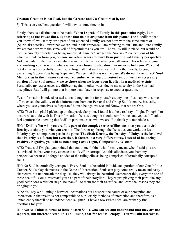# **Creator. Creation is not Real, but the Creator and Co-Creators of it, are**.

3). This is an excellent question. I will devote some time to it:

Firstly, there is a distinction to be made. **When I speak of Family in this particular reply, I am referring to the Power lines, ie; those that do not originate from this planet**. The bloodlines that you know of, whilst they are a part of our extended Family, are not born with the same extent of (Spiritual/Esoteric) Power that we are, and in this response, I am referring to our True and Pure Family. We are not born with the same veil of forgetfulness as you are. The veil is still in place, but would be most accurately described as being somewhat "thinner". We see the "invisible" connections of life which are hidden from you, because **we retain access to more than just the 3rd Density perspective**. Not dissimilar to the manner in which some people can see what you call auras. This is because **you are working your way up, whereas we have chosen to step down, in order to help you**. We could not do this as successfully if we had to forget all that we have learned. In other words, to you, everything "appears" as being "separate". We see that this is not the case. **We do not have 'direct' Soul Memory, as in the manner that you remember what you did yesterday, but we may access any portion of our Soul memory we so chose when we focus upon it, often in a meditative state**. Personally, my experiences are different again, in other ways, due to my specialty in the Spiritual disciplines. But I will go into that in more detail later, in response to another question.

Yes, information is indeed passed down, though unlike for yourselves, any one of us may, with some effort, check the validity of that information from our Personal and Group Soul Memory. basically, where you see yourselves as "separate" human beings, we see and Know, that we are One.

ATS: Then I am glad I picked up on that particular point. I found it to be a real ray of light. Though, I'm unsure what to do with it. This information feels as though it should comfort me, and yet it's difficult to feel comfortable knowing that 'evil', in part, makes us who we are. But thank you nonetheless.

HH: **"Evil" is Not who you are. It is part of the complex series of illusions, that you use in 3rd Density, to show you who you are not.** The further up through the Densities you work, the less Polarity plays an important part in the game. **The Sixth Density, the Density of Unity, is the last level that Polarity is a factor, but even then, it factors in a very different way. Instead of balancing Positive / Negative, you will be balancing Love / Light, Compassion / Wisdom.**

ATS: True, and I'm glad you pointed that out to me. I think what I really meant when I said you are "alleviated" is that your very essence is not 'evil' or corrupt. And this alleviates you from my perspective because I'd forged an idea of the ruling elite as being comprised of terminally corrupted souls.

HH: No Soul is terminally corrupted. Every Soul is a beautiful individuated portion of our One Infinite Creator. Souls play characters in the Game of Incarnation. Souls can play some really mean and nasty characters, but underneath the disguise, they will always be beautiful. Remember this, everytime one of these beautiful Souls 'mistreats' you as a part of their storyline. They're just playing their part, like any good actor does whilst on stage. Be thankful to them for their Sacrifice, and learn the lessons they are bringing to you.

ATS: You say we all mingle between incarnations but I suspect the nature of our perception and interaction in that realm is not comparable to our Earthly methods of interaction and therefore, as a united entity there'll be no independent 'laughter' . I have a few (what I feel are probably final) questions for you:

HH: Not so. **Think in terms of individuated Souls, who can see and understand that they are not separate, but interconnected. It is an illusion, that "space" is "empty". You will still interact as**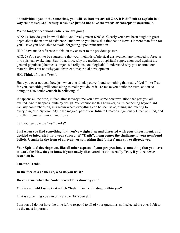# **an individual, yet at the same time, you will see how we are all One. It is difficult to explain in a way that makes 3rd Density sense. We just do not have the words or concepts to describe it.**

## **We no longer need words where we are going.**

ATS: 1) How do you know all this? And I really mean KNOW. Clearly you have been taught in great depth about the nature of existence. But how do you know this first hand? How is it more than faith for you? Have you been able to avoid 'forgetting' upon reincarnation?

HH: I have made reference to this, in my answer to the previous poster.

ATS: 2) You seem to be suggesting that your methods of physical enslavement are intended to force us into spiritual awakening. But if that is so, why are methods of spiritual suppression used against the general populace (chemicals, organised religion, sociological)? I understand why you obstruct our material lives but not why you obstruct our spiritual development.

## HH: **Think of it as a "test".**

Have you ever noticed, how just when you 'think' you've found something that really "feels" like Truth for you, something will come along to make you doubt it? To make you doubt the truth, and in so doing, to also doubt yourself in believing it?

It happens all the time, in fact, almost every time you have some new revelation that gets you all excited. And it happens, quite by design. You cannot see this however, as it's happening beyond 3rd Density comprehension, in a realm where everything can be seen as adjoining and relating to everything else. Syncronicity. All a magical part of our Infinite Creator's ingenously Creative mind, and excellent sense of humour and irony.

Can you see how the "test" works?

**Just when you find something that you've weighed up and dissected with your discernment, and decided to integrate it into your concept of "Truth", along comes the challenge to your newfound beliefs. Usually in the form of an event, or something that 'others' may say to disuede you.**

**Your Spiritual development, like all other aspects of your progression, is something that you have to work for. How do you know if your newly discovered 'truth' is really True, if you're never tested on it.**

**The test, is this:**

**In the face of a challenge, who do you trust?**

**Do you trust what the "outside world" is showing you?**

# **Or, do you hold fast to that which "feels" like Truth, deep within you?**

That is something you can only answer for yourself.

I am sorry I do not have the time left to respond to all of your questions, so I selected the ones I felt to be the most important.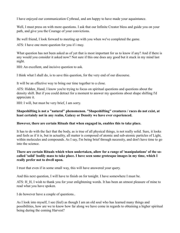I have enjoyed our communication Cythraul, and am happy to have made your aquaintance.

Well, I must press on with more questions. I ask that our Infinite Creator bless and guide you on your path, and give you the Courage of your convictions.

Be well friend, I look forward to meeting up with you when we've completed the game.

ATS: I have one more question for you if i may.

What question has not been asked as of yet that is most important for us to know if any? And if there is any would you consider it asked now? Not sure if this one does any good but it stuck in my mind last night.

HH: An excellent, and incisive question to ask.

I think what I shall do, is to save this question, for the very end of our discourse.

It will be an effective way to bring our time together to a close.

ATS: Hidden\_Hand, I know you're trying to focus on spiritual questions and questions about the density shift. But if you could detract for a moment to answer my questions about shape shifting I'd appreciate it.

HH: I will, but must be very brief, I am sorry.

# **Shapeshifting is not a "natural" phenomenon. "Shapeshifting" creatures / races do not exist, at least certainly not in any realm, Galaxy or Density we have ever experienced.**

#### **However, there are certain Rituals that when engaged in, enables this to take place.**

It has to do with the fact that the body, as is true of all physical things, is not really solid. Sure, it looks and feels as if it is, but in actuality, all matter is composed of atomic and sub-atomic particles of Light, within molecules and compounds. As I say, I'm being brief through necessity, and don't have time to go into the science.

# **There are certain Rituals which when undertaken, allow for a range of 'manipulations' of the socalled 'solid' bodily mass to take place. I have seen some grotesque images in my time, which I really prefer not to dwell upon.**

I trust that even if in some small way, this will have answered your query.

And this next question, I will have to finish on for tonight. I have somewhere I must be.

ATS: H<sub>H</sub>, I wish to thank you for your enlightening words. It has been an utmost pleasure of mine to read what you have spoken.

I do however have a couple of questions..

As I look into myself, I see (feel) as though I am an old soul who has learned many things and possibilities, how are we to know how far along we have come in regards to obtaining a higher spiritual being during the coming Harvest?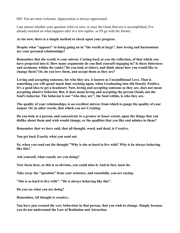HH: You are most welcome. Appreciation is always appreciated.

I am unsure whether your question refers to now, or once the Great Harvest is accomplished, I've already touched on what happens after in a few replies. so I'll go with the former.

**As for now, there is a simple method to check upon your progress.**

**Despite what "appears" to being going on in "the world at large", how loving and harmonious are your personal relationships?**

**Remember that the world, is your mirror. Casting back at you the reflection, of that which you have projected into it. How many arguments do you find yourself engaging in? Is there bitterness and acrimony within the ranks? Do you look at others, and think about how you would like to change them? Or, do you love them, and accept them as they are?**

**Loving and accepting someone, for who they are, is known as Unconditional Love. That is something you will spend much time working upon, when Graduating into 4th Density Positive. It's a good idea to get a headstart. Now, loving and accepting someone as they are, does not mean accepting abusive behavior. But, it does mean loving and accepting the person (Soul), not the Soul's behavior. The behavior is not "who they are", the Soul within, is who they are.**

**The quality of your relationships, is an excellent mirror, from which to gauge the quality of your output. Or, in other words, that which you are Creating.**

**Do you look at a person, and concentrate to a greater or lesser extent, upon the things that you dislike about them and wish would change, or the qualities that you like and admire in them?**

**Remember that we have said, that all thought, word, and deed, is Creative.**

**You get back Exactly what you send out.**

**So, when you send out the thought "Why is she so hard to live with? Why is he always behaving like this?**

**Ask yourself, what exactly are you doing?**

**Now focus here, as this is so obvious, you could miss it. And in fact, most do.**

**Take away the "question" from your sentence, and essentially, you are saying:**

**"She is so hard to live with". "He is always behaving like this".**

**Do you see what you are doing?**

**Remember, All thought is creative..**

**You have just created the very behaviour in that person, that you wish to change. Simply because you do not understand the Law of Radiation and Attraction.**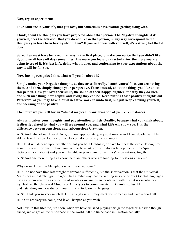**Now, try an experiment:**

**Take someone in your life, that you love, but sometimes have trouble getting along with.**

**Think, about the thoughts you have projected about that person. The Negative thoughts. Ask yourself, does the behavior that you do not like in that person, in any way correspond to the thoughts you have been having about them? If you're honest with yourself, it's a strong bet that it does.**

**Sure, they must have behaved that way in the first place, to make you notice that you didn't like it, but, we all have off days sometimes. The more you focus on that behavior, the more you are going to see of it. It's just Life, doing what it does, and conforming to your expectations about the way it will be for you.**

**Now, having recognized this, what will you do about it?**

**Simply notice your Negative thoughts as they arise, literally, "catch yourself" as you are having them. And then, simply change your perspective. Focus instead, about the things you like about this person. How you love their smile, the sound of their happy laughter; the way they do such and such nice thing, how helpful and loving they can be. Keep putting those positive thoughts out. Persevere, as you may have a bit of negative work to undo first, but just keep catching yourself, and focusing on the positive..**

**Then prepare yourself for an "almost magical" transformation of your circumstances.**

# **Always monitor your thoughts, and pay attention to their Quality; because what you think about, is directly related to what you will see around you, and what Life will show you. It is the difference between conscious, and subconscious Creation.**

ATS: And what of our Loved Ones, or more appropriately, my soul mate who I Love dearly. Will I be able to take this new Journey of the Harvest alongside my Loved ones?

HH: That will depend upon whether or not you both Graduate, or have to repeat the cycle. Though rest assured, even if for one lifetime you were to be apart, you will always be together in time/space (between incarnations) and you will be able to plan many future 'lives' (incarnations) together.

ATS: And one more thing as I know there are others who are longing for questions answered..

Why do we Dream in Metaphors which make no sense?

HH: I do not have time left tonight to respond sufficiently, but the short version is that the Universal Mind speaks in Archetypal Imagery. In a similar way that the writing in some of our Oriental languages uses a system whereby a collection of words or meanings are contained within what is essentially a 'symbol', so the Universal Mind uses Archetypes to communicate in Dreamtime. Just like understanding any new dialect, you just need to learn the language.

ATS: Thank you so very much H\_H, I strongly wish I may meet you someday and have a good talk.

HH: You are very welcome, and it will happen as you wish.

Not now, in this lifetime, but soon, when we have finished playing this game together. No rush though friend, we've got all the time/space in the world. All the time/space in Creation actually.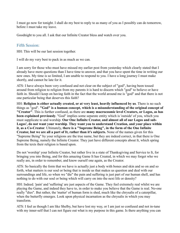I must go now for tonight. I shall do my best to reply to as many of you as I possibly can do tomorrow, before I must take my leave.

Goodnight to you all. I ask that our Infinite Creator bless and watch over you.

# Fifth Session:

HH: This will be our last session together.

I will do my very best to pack in as much as we can.

I am sorry for those who must have missed my earlier post from yesterday which clearly stated that I already have more questions than I have time to answer, and that you have spent the time in writing our new ones. My time is so limited, I am unable to respond to you. I have a long journey I must make shortly, and cannot be late for it.

ATS: I have always been very confused and not clear on the subject of "god", having been tossed around from religion to religion from my parents it is hard to discern which "god" to believe or have faith in. Should I keep on having faith in the fact that the world around me is "god" and that there is not one particular being that deserves this faith?

HH: **Religion is either actually created, or at very least, heavily influenced by us**. There is no such things as "god". **"God" is a human concept, which is a misunderstanding of the original concept of "Creator"**. This is further confused, as there are **many macrocosmic level Creators, or Logos, as has been explained previously**. "God" implies some separate entity which is 'outside' of you, which you must supplicate to and worship. **Our One Infinite Creator, and almost all of our Logos and sub-Logos', do not want your worship**. **They want you to understand Creation, and your place within it, as a Co-Creator**. Ultimately, **there is a "Supreme Being", in the form of the One Infinite Creator, but we are all a part of It, rather than it's subjects.** None of the names given for this "Supreme Being" by your religions are the true name, but they are indeed correct, in that there is One Supreme Being, namely the Infinite Creator. They just have different concepts about It, which spring from the texts their religion is based upon.

Do not 'worship' your Infinite Creator, but rather live in a state of Thanksgiving and Service to It, for bringing you into Being, and for this amazing Game It has Created, in which we may forget who we really are, in order to remember, and know ourself one again, as the Creator.

ATS: So basically the form that we have is actually just a body with bones and skin and so on and so forth, what matters is our soul or being that is inside us that makes us question and deal with our surroundings and life, so when we "die" the pain and suffering is just part of our human shell, and has nothing to do with our soul or being which will carry on into the next life or density?

HH: Indeed. 'pain' and 'suffering' are just aspects of the Game. They feel extremely real whilst we are playing the Game, and indeed they have to, in order to make you believe that the Game is real. No-one really "dies". But rather, the 'matter' of human form is shed, much like the chrysalis of a caterpillar, when the butterfly emerges. Look upon physical incarnation as the chrysalis in which you may transform.

ATS: I feel as though I am like Shelby, but have lost my way, or I am just so confused and not in-tune with my inner-self that I can not figure out what is my purpose in this game. Is there anything you can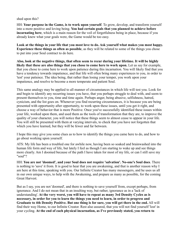shed upon this?

HH: **Your purpose in the Game, is to work upon yourself**. To grow, develop, and transform yourself into a more positive and loving being. **You had certain goals that you planned to achieve before incarnating here**, which is a main reason for the veil of forgetfulness being in place, because if you already knew what your goals were, the Game would be too easy.

**Look at the things in your life that you most love to do. Ask yourself what makes you most happy. Experience these things as often as possible**, as they will be related to some of the things you chose to put into your Soul contract to do here.

**Also, look at the negative things, that often seem to recur during your lifetime. It will be highly** likely that these are also things that you chose to come here to work upon. Let us say for example, that you chose to come here to work upon patience during this incarnation. You will likely find that you have a tendency towards impatience, and that life will often bring many experiences to you, in order to 'test' your patience. The idea being, that rather than losing your temper, you work upon your impatience, and resolve to become a more temperate and patient Soul.

This same analogy may be applied to all manner of circumstances in which life will test you. Look for and begin to identify any recurring issues you have, that you perhaps struggle to deal with, and seem to present themselves to you, time and time again. Perhaps anger, being abusive, selfishness, hatred, cynicism, and the list goes on. Whenever you find recurring circumstances, it is because you are being presented with opportunity after opportunity, to work upon these issues, until you get it right, and choose a way of behavior that is more Positive. Once you've successfully identified these issues within your life, worked upon them, and used them as the tools of transformation that they are, to improve the quality of your character, you will notice that these things seem to almost cease to appear in your life. You will still be presented with them at varying intervals, to check that you have not forgotten that which you have learned, but they will be fewer and far between.

I hope this may give you some clues as to how to identify the things you came here to do, and how to go about working upon yourself.

ATS: My life has been a troubled one for awhile now, having been so soaked and brainwashed into the human life form and way of life, but lately I feel as though I am starting to wake up and see things more clearly. Am I doomed because of the path I have taken for most of my life, or can I still save my "soul"?

HH: **You are not 'doomed', and your Soul does not require 'salvation'. No-one's Soul does**. There is nothing to 'save' it from. It is good to hear that you are awakening, and that is another reason why I am here at this time, speaking with you. Our Infinite Creator has many messengers, and he uses us all in our own unique ways, to help with the Awakening, and prepare as many as possible, for the coming Great Harvest.

But as I say, you are not 'doomed', and there is nothing to save yourself from, except perhaps, from ignorance. And I do not mean that in an insulting way, but rather, ignorance as in a 'lack of understanding'. **At the very worst, you will have to repeat as many 3rd Density Cycles as is necessary, in order for you to learn the things you need to learn, in order to progress and Graduate to 4th Density Positive. But one thing is for sure, you will get there in the end.** All will find their way Home, to our Infinite Creator. Rest also assured, that you will not find yourself 'lost' in your cycling. **At the end of each physical incarnation, as I've previously stated, you return to**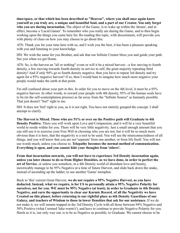**time/space, or that which has been described as "Heaven", where you shall once again know yourself as you truly are, a unique and beautiful Soul, and a part of our Creator. You only forget who you are during incarnation.** The object of the Game, is to wake up within the 'dream', and in effect, become a 'Lucid Gamer'. To remember who you really are during the Game, and to then begin working upon the things you came here for. Re-reading this topic, with discernment, will provide you with plenty of clues on how you may choose to go about this.

ATS: Thank you for your time here with us, and I wish you the best, it has been a pleasure speaking with you and listening to your knowledge.

HH: We wish the same for you Brother, and ask that our Infinite Creator bless you and guide your path. See you when we get Home.

ATS: So, is the harvest an "all or nothing" event or will it be a mixed harvest—a few moving to fourth density, a few moving towards fourth density in service to self, the great majority repeating third density? And if only 94% go to fourth density negative, then you have to repeat 3rd density and try again for a 95% negative harvest? If so, then I would hate to imagine how much more negative your people would make the earth at that point.

I'm still confused about your part in this. In order for you to move on the 4th level, it must be a 95% negative harvest. In other words, to reward your people with 4th density, 95% of the human souls have to be (in the self-contemplation process) as far away from the "Infinite Source" as humanly possible. That just doesn't "feel" right to me.

HH: It does not 'feel' right to you, as it is not right. You have not entirely grasped the concept. I shall attempt to clarify.

**The Harvest is Mixed. Those who are 51% or over on the Positive path will Graduate to 4th Density Positive.** There you will work upon Love and Compassion, and it will be a very beautiful world to reside within for you. There will be very little negativity. Just a small enough amount that you can still use it to exercise your Free Will in choosing who you are not, but it will be so much more obvious than it is here, that the negativity is a tool to be used. You will see the interconnectedness of all things, and you will know that you are not 'separate' from one another, or from life Itself. You will not use words much, unless you choose to. **Telepathy becomes the normal method of communication. Everything is open, and you cannot hide your thoughts from 'others'.**

**From that incarnation onwards, you will not have to experience 3rd Density incarnation again, unless you later choose to do so from Higher Densities, as we have done, in order to perfect the art of Service**, or unless you somehow, in a 4th Density world of abundant love and beauty, inextricably manage to be 95% Negative at a time of future Harvest, and slide back down the snake, instead of ascending up the ladder, to use another 'Game' metaphor.

Back to 'this' current Great Harvest, **we do not require a 95% Negative Harvest, as you have deducted. Instead, what we require, is for US to personally attain a 95% Negative Polarity for ourselves, not for you. WE must be 95% Negative (at least), in order to Graduate to 4th Density Negative, and earn the opportunity to clear our Karmic Record**, **of all the Negativity we have Created on this planet, before returning to our rightful place as 6th Density Guardians of our Galaxy, and teachers of Wisdom to those in lower Densities that ask for our assistance.** If we do not make it, we will remain trapped in the 3rd Density Cycle with all those between 94% Negative and 50% Positive (what I termed 'luke-warm's'), and have to continue to provide Negative Polarity for you. Harsh as it is, our only way out, is to be as Negative as possible, to Graduate. We cannot choose to be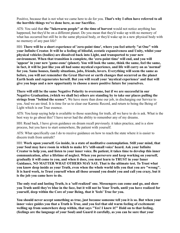Positive, because that is not what we came here to do for you. **That's why I often have referred to all the horrible things we've done here, as our Sacrifice.**

ATS: You said that **the "lukewarm people" at the time of harvest** would not notice anything has happened, but they'd be on a different planet. Do you mean that they'd wake up with no memory of what has occurred but still be in the same physical body, or they'd wake up in a new physical body with no memory of any past life?

HH: **There will be a short experience of 'zero-point time', where you feel utterly "at One" with your Infinite Creator. It will be a feeling of blissful, ecstatic expansiveness and Unity, whilst your physical vehicles (bodies) are dissolved back into Light, and transported to your new environment. When that transition is complete, the 'zero-point time' will end, and you will 'appear' in your new 'game-zone' (planet). You will look the same, think the same, feel the same, in fact, it will be just like you all had some mystical experience, and life will carry on as 'normal' for you. Same houses, family situations, jobs, friends, lovers. Everything will seem the same as before, you will not remember the Great Harvest or earth changes that occurred as the planet Earth heals and regenerates herself. But you will recall your 'mystical experience' and that will give you hope and a new opportunity to choose a more positive future for yourselves.**

**There will still be the same Negative Polarity to overcome, but if we are successful in our Negative Graduation, (which we shall be) others are standing by to take our places pulling the strings from "behind the scenes".** We have more than done our job, in discharging our Service to you. And we are tired. It is time for us to clear our Karmic Record, and return to being the Being of Light which is our True essence.

ATS: You keep saying help is available to those searching for truth, all we have to do is ask. What is the best way to go about this? I have never had the ability to remember any of my dreams.

HH: Read back, I have given guidance on dream recall previously. it takes practice, and is a slow process, but you have to start somewhere, Be patient with yourself.

ATS: What specifically can I do to receive guidance on how to reach the state where it is easier to discern truth from untruth?

HH: **Work upon yourself. Go inside, in a state of meditative contemplation. Still your mind, that your Soul may have room in which to make It's 'still-small voice' heard. Ask your Infinite Creator to help you, and listen to your inner voice. Be patient, it takes time to develop this inner communication, after a lifetime of neglect. When you persevere and keep working on yourself, gradually it will come to you, and when it does, you must learn to TRUST in your Inner Guidance, NO MATTER WHAT OTHERS MAY SAY. That is the ultimate test. To Trust what you know deep inside as your Truth, even when the whole world tells you that you are "wrong". It is hard work, to Trust yourself when all those around you doubt you and call you crazy, but it is the job you came here to do.**

**The only real and lasting Truth, is a 'self-realized' one. Messengers can come and go, and show you Truth until they're blue in the face, but it will not be Your Truth, until you have realized for yourself, deep within the Core of your Being, that it 'feels' True for you.**

**You should never accept something as true, just because someone tell you it is so. But when your inner voice guides you that a Truth is True, and you feel that old warm feeling of excitement welling up from somewhere deep within, that says "Yes! I knew it!" Hold on to that feeling, (feelings are the language of your Soul) and Guard it carefully, as you can be sure that your**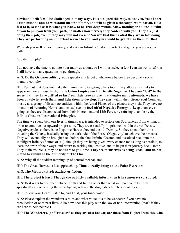**newfound beliefs will be challenged in many ways. It is designed this way, to test you. Your Inner Truth must be able to withstand the test of time, and will be given a thorough examination. Hold fast to it, so long as it is what you Know to be True deep within. Allow nothing or no-one 'outside' of you to pull you from your path, no matter how fiercely they contend with you. They are just doing their job, even if they may well not even be 'aware' that this is what they are in fact doing. They are performing an important service to you, and you should be grateful to them for that.**

We wish you well on your journey, and ask our Infinite Creator to protect and guide you upon your path.

"arc de triumphe":

I do not have the time to go into your many questions, so I will just select a few I can answer briefly, as I still have so many questions to get through.

ATS: Do the **Orion/occultist groups** specifically target civilizations before they become a social memory complex.

HH: Yes, but that does not make them immune to targeting others too, if they allow any chinks to appear in their armour. In short, **the Orion Empire are 4th Density Negative**. **They are "lost" in the sense that they have drifted so far from their true nature, that despite many attempts, we have been unable to reach them, and help them to develop.** They exist within their Group Soul Complex, mostly as a group of discarnate entities, within the Astral Planes of the planets they visit. They have no intention of 'returning Home', and instead seek to **feed off of Negative Energy**, to keep themselves going, as they are disconnected from their inherent natural Life-Force, by refusing to abide by the Infinite Creator's Incarnational Principles.

The time we spend between lives in time/space, is intended to restore our Soul Energy from within, in order to continue our upward progression. They are essentially 'imprisoned' within the 4th Density Negative cycle, as there is no Negative Harvest beyond the 4th Density. So they spend their time traveling the Galaxy, basically 'using the dark side of the Force' (Negativity) to achieve their means. They will eventually be brought back before the One Infinite Creator, and dissolved back into the Intelligent infinity (Source of All), though they are being given every chance for as long as possible, to learn the error of their ways, and return to seeking the Positive, and to begin their journey back Home. They main trouble is, they do not want to go Home. **They see themselves as being 'gods', and do not intend to submit to the authority of The One.** 

ATS: Why all the sudden ramping up of control mechanisms.

HH: The Great Harvest is fast approaching. **Time to really bring on the Polar Extremes**.

# ATS: **The Montauk Project....fact or fiction**.

# HH: **The project is Fact. Though the publicly available information is in someways corrupted.**

ATS: Best ways to decipher between truth and fiction other than what we perceive to be truth specifically in concerning the New Age agenda and the dogmatic churches ideologies.

HH: Follow your Heart. Listen to, and Trust, your Inner voice.

ATS: Please explain the wanderer's roles and what value it is to be wanderer if you have no recollection of ones past lives. Also how does this play with the law of non-intervention (that's if they are here to help people ).

HH: **The Wanderers, (or 'Travelers' as they are also known) are those from Higher Densities, who**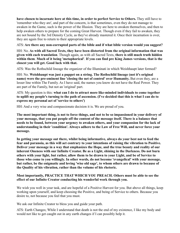**have chosen to incarnate here at this time, in order to perfect Service to Others.** They still have to 'remember who they are', and part of the concern, is that sometimes, even they do not manage to awaken in the Game, such is the power of the Illusion. They are here to awaken themselves, and then to help awaken others to prepare for the coming Great Harvest. Though even if they fail to awaken, they are not bound by the 3rd Density Cycle, as they've already mastered it. Once their incarnation is over, they are again free to return to their appropriate levels.

ATS: **Are there any non-corrupted parts of the bible and if what bible version would you suggest?**

HH: No. **As with all Sacred Texts, they have been distorted from the original information that was given with each translation**. Though again, as with all Sacred Texts, **there is still much truth hidden within them**. **Much of it being 'metaphorical'**. **If you can find pre King James versions, that is the closest you will get. Good luck with that.**

ATS: Was the Rothschild lineage the organizer of the Illuminati in which Weishhaupt later formed?

HH: No. **Weishhaupt was just a puppet on a string. The Rothschild lineage (not it's original name) were the pre-eminent line 'closing the net of control' over Humanity.** But even they, are a lesser line within The Family. As I have said, the names you know do not have the Real Power. They are part of the Family, but not an 'original' part.

ATS: My question is this: **what can I do to attract more like-minded individuals to come together to uplift my people's turning to the path of ascension. (I've decided that this is what I can do to express my personal act of 'service to others')**

HH: And a very wise and compassionate decision it is. We are proud of you.

**The most important thing, is not to force things, and not to be so impassioned in your delivery of your message, that you put people off the content of the message itself. There is a balance that needs to be found, between your urgency to awaken others, and your compassion for the lack of understanding in their 'condition'. Always adhere to the Law of Free Will, and never force your message.**

**In getting your message out there, whilst being informative, always do your best not to feed the fear and paranoia, as this will act contrary to your intentions of raising the vibration to Positive. Deliver your message in a way that emphasizes the Hope, and the true beauty and reality of our inherent Oneness with our Infinite Creator. Be as a Light, shining in the Darkness. Do not burn others with your light, but rather, allow them to be drawn to your Light, and be of Service to those who come to you willingly. In other words, do not become 'evangelical' with your message, but rather, be the enigmatic and loving 'wise old sage', to whom others are drawn to because of the Quality of his vibration, rather than the volume of his rhetoric.**

# **Most importantly, PRACTICE THAT WHICH YOU PREACH. Others must be able to see the effect of our Infinite Creator conducting his wonderful work through you.**

We wish you well in your task, and are hopeful of a Positive Harvest for you. But above all things, keep working upon yourself, and keep choosing the Positive, and being of Service to others. Because you desire to, not because you feel that you must.

We ask our Infinite Creator to bless you and guide your path.

ATS: Earth Changes; While I understand that death is not the end of my existence, I like my body and would not like to get caught out in any earth changes if I can possibly help it.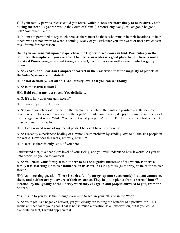1) If your family permits, please could you reveal **which places are more likely to be relatively safe during the next 3-4 years?** Would the South of China (Canton/Hong Kong) or Patagonia be good bets? Any other places?

HH: I am not permitted to say much here, as there must be those who remain in their locations, to help others who are not aware of what is coming. Many of you (whether you are aware or not) have chosen this lifetime for that reason.

But **if you are insistent upon escape, chose the Highest places you can find. Particularly in the Southern Hemisphere if you are able. The Peruvian Andes is a good place to be. There is much Spiritual Power being exercised there, and the Quero Elders are well aware of what is going down.**

ATS: 2) **Are John Lear/Jan Lamprecht correct in their assertion that the majority of planets of the Solar System are inhabited?** 

HH: **Most definitely. Not all on a 3rd Density level that you can see though.** 

ATS: **Is the Earth Hollow?**

HH: **Hold on, let me just check. Yes, definitely.**

ATS: If so, how does one gain access?

HH: I am not permitted to say.

ATS: Could you elaborate further on the mechanisms behind the fantastic positive results seen by people who embark on the service to others path? I invite you to really deeply explain the intricacies of the energy-play at work. While "You get out what you put in" is true, I'd like to see the whole concept dissected and fully explored.

HH: If you re-read some of my recent posts, I believe I have now done so.

ATS: I recently experienced healing of a minor health problem by sending love to all the sick people in the world. How does this work, not why, how.?!?!

HH: Because there is only ONE of you here.

Understand that, at a deep Core level of your Being, and you will understand how it works. As you do unto others, so you do to yourself.

ATS: **You claim your family was put here to be the negative influence of the world. Is there a family it is asserting a positive influence on us as well? Is it up to us (humanity) to be that positive force?**

HH: An interesting question. **There is such a family (or group more accurately), but you cannot see them, and neither are you aware of their existence. They help the planet from a secret "Inner" location, by the Quality of the Energy work they engage in and project outward to you, from the Source.**

Yes, it is up to you to Be the Changes you wish to see, in yourself, and in the World.

ATS: Your goal is a negative harvest, yet you clearly are touting the benefits of a positive life. This seems antithetical to your goal. That is not so much a question as an observation, but if you could elaborate on that, I would appreciate it.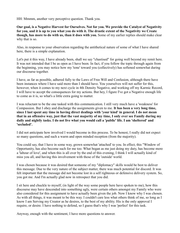HH: Mmmm, another very perceptive question. Thank you.

**Our goal, is a Negative Harvest for Ourselves. Not for you. We provide the Catalyst of Negativity for you, and it is up to you what you do with it. The drastic extent of the Negativity we Create though, has more to do with us, than it does with you.** Some of my earlier replies should make clear why that is so.

Also, in response to your observation regarding the antithetical nature of some of what I have shared here, there is a simple explanation.

Let's put it this way, I have already been, shall we say "chastised" for going well beyond my remit here. It was not intended that I be as open as I have been. In fact, if you follow the topic through again from the beginning, you may notice how my 'tone' toward you (collectively) has softened somewhat during our discourse together.

I have, as far as possible, adhered fully to the Laws of Free Will and Confusion, although there have been instances where I have said more than I should have. You yourselves will not suffer for this, however, when it comes to my next cycle in 4th Density Negative, and working off my Karmic Record, I will have to accept the consequences for my actions. But hey, I figure I've got a Negative enough life to come as it is, so what's a little extra going to matter.

I was reluctant to be the one tasked with this communication. I still very much have a 'weakness' for Compassion. But I obey and discharge the assignments given to me. **It has been a very long time, since I last spent any time in having direct dealings with 'your kind' in general. I do not mean that in an offensive way, just that the vast majority of my time, I only ever see Family during my daily and nightly tasks. I do not live what you would call a 'public' life. I am 'sheltered' and 'secluded'.**

I did not anticipate how involved I would become in this process. To be honest, I really did not expect so many questions, and such a warm and open minded reception (from the majority).

You could say, that I have in some way, grown somewhat 'attached' to you. In effect, this "Window of Opportunity, has also become such for me too. What began as me just doing my duty, has become more a 'labour of love', and when this is all over by the end of this evening, I think I will actually kind of miss you all, and having this involvement with those of the 'outside' world.

I was chosen because it was desired that someone of my "diplomacy" skills would be best to deliver this message. Due to the very nature of the subject matter, there was much potential for discord. It was felt important that the message did not become lost in a self righteous or defensive delivery system. So, you got me. And I'm actually glad now in retrospect that you did.

I sit here and chuckle to myself, (in light of the way some people here have spoken to me), how this discourse may have descended into something ugly, were certain others amongst my Family who were also considered for this assignment to have actually been given the job. Now I know why I was chosen. As with all things, it was meant to be this way. I couldn't care less what others think of me, so long as I know I am Serving my Creator as he desires, to the best of my ability. His is the only approval I require, or desire. I have nothing to defend, so I guess that's why I was 'perfect' for this task.

Anyway, enough with the sentiment, I have more questions to answer.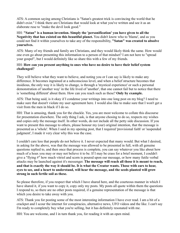ATS: A common saying among Christians is "Satan's greatest trick is convincing the world that he didn't exist." I think there are Christians that would look at what you've written and see it as an elaborate ruse to "make the devil look good."

# HH: **"Satan" is a human invention. Simply the 'personification' you have given to all the Negativity that has existed on this beautiful planet.** You didn't know who to 'blame', and as you could not find it within yourselves to take any of the responsibility, **"Satan" was created to absolve yourselves.**

ATS: Many of my friends and family are Christians, and they would likely think the same. How would one even go about presenting this information to a person of that mindset? I am not here to "spread your gospel", but I would definitely like so share this with a few of my friends.

## HH: **How can you present anything to ones who have no desire to have their belief system challenged?**

They will believe what they want to believe, and noting you or I can say is likely to make any difference. It becomes ingrained at a subconscious level, and when a belief structure becomes that insidious, the only way it is likely to change, is through a 'mystical experience' or such a personal demonstration of 'another way' in the life lived of 'another', that one cannot fail but to notice that there is 'something different' about them. How can you reach such as these? **Only by example.**

ATS: That being said, is it okay if I condense your writings into one long post on my blog? I need to make sure that doesn't violate my user agreement here. I would also like to make sure that I won't get a visit from the men in black if I do so.

HH: That is amusing, thank you for the chuckle. Yes, you are most welcome to collate this discourse for presentation elsewhere. The only thing I ask, is that anyone chosing to do so, respects my wishes and copies only the message itself. In other words, do not include all the petty side discussion. If you want to present this message to others, please honour my (our) original intention, that the message is presented as a 'whole'. When I said in my opening post, that I required 'provisional faith' or 'suspended judgment', I made it very clear why this was the case.

I couldn't care less that people do not believe it. I never expected that many would. But what I desired, in asking for the above, was that the message was allowed to be presented in full, with all genuine questions replied to, and then once that process is complete, you can say whatever you like about how much of a hoax you may or may not believe it to be. If I may be crass for a brief moment, I couldn't give a "flying #" how much vitriol and scorn is poured upon our message, or how many futile verbal attacks may be launched against it's messenger. **The message will reach all those it is meant to reach, and that is exactly the way it should be. It is what the Creator wants. Those with ears to hear, eyes to see, and a heart to understand, will hear the message, and the seeds planted will grow strong in such fertile soil as these.**

So please therefore, if you respect that which I have shared here, and the courteous manner in which I have shared it, if you want to copy it, copy only my posts. My posts all quote within them the questions I respond to, so there are no other posts required, if a genuine representation of the message is that which you desire to take away with you.

ATS: Thank you for posting some of the most interesting information I have ever read. I am a bit of a crackpot and I scour the internet for conspiracies, alternative news, UFO videos and the like. I can't say I'm ready to completely buy what you're selling, but it has definitely resonated with me.

HH: You are welcome, and I in turn thank you, for reading it with an open mind.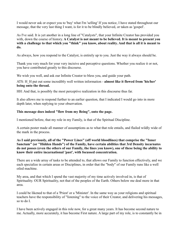I would never ask or expect you to 'buy' what I'm 'selling' If you notice, I have stated throughout our message, that the very last thing I want, is for it to be blindly believed, or taken as 'gospel'.

As I've said. It is yet another in a long line of "Catalysts", that your Infinite Creator has provided you with, down the course of history. **A Catalyst is not meant to be believed. It is meant to present you with a challenge to that which you "think" you know, about reality. And that is all it is meant to do.**

As always, how you respond to the Catalyst, is entirely up to you. Just the way it always should be.

Thank you very much for your very incisive and perceptive questions. Whether you realize it or not, you have contributed greatly to this discourse.

We wish you well, and ask our Infinite Creator to bless you, and guide your path.

ATS: H\_H put out some incredibly well written information - **almost like it flowed from 'his/her' being onto the thread.**

HH: And that, is possibly the most perceptive realization in this discourse thus far.

It also allows me to respond further to an earlier question, that I indicated I would go into in more depth later, when replying to your observation.

## **This message does indeed "flow from my Being", onto the page.**

I mentioned before, that my role in my Family, is that of the Spiritual Discipline.

A certain poster made all manner of assumptions as to what that role entails, and flailed wildly wide of the mark in the process.

# **As I said previously, all of the "Power Lines" (off world bloodlines) that comprise the "Inner Sanctum" (or "Hidden Hands") of the Family, have certain abilities that 3rd Density incarnates do not posses (even the others of our Family, the lines you know), one of these being the ability to know their entire incarnational 'past', with focussed concentration.**

There are a wide array of tasks to be attended to, that allows our Family to function effectively, and we each specialize in certain areas or Disciplines, in order that the "body" of our Family runs like a well oiled machine.

My area, and that which I spend the vast majority of my time actively involved in, is that of Spirituality. OUR Spirituality, not that of the peoples of the Earth. Others below me deal more in that area.

I could be likened to that of a 'Priest' or a 'Minister'. In the same way as your religions and spiritual teachers have the responsibility of "listening" to the voice of their Creator, and delivering his messages, so to do I.

I have been actively engaged in this role now, for a great many years. It has become second nature to me. Actually, more accurately, it has become First nature. A large part of my role, is to constantly be in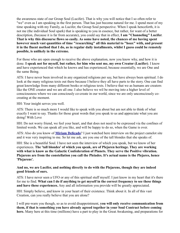the awareness state of our Group Soul (Lucifer). That is why you will notice that I so often refer to "we" even as I am speaking in the first person. That has just become natural for me. I spend most of my time speaking with my Family, as Lucifer, the Group Soul perspective. When I speak henceforth, it is not me (the individual Soul spark) that is speaking to you in essence, but rather, for want of a better description, (because it is far from accurate), you could say that in effect, **I am "Channeling" Lucifer**. **That is why this discourse flows so easily. As some have noted, the chances of me having spent however much vast quantities of time "researching" all this material to "hoax" with, and present it in the fluent method that I do, as in regular daily installments, whilst I guess could be remotely possible, is unlikely in the extreme.**

For those who are open enough to receive the above explanation, now you know why, and how it is done. **I speak not for myself, but rather, for him who sent me, my own Creator (Lucifer)**. I know and have experienced that which he knows and has experienced, because essentially, we are One and the same Being.

ATS: I have never been involved in any organized religions per say, but have always been spiritual. I do look at the many religious texts out there because I believe they all have parts to the story. One can find great knowledge from many different books or religious texts. I believe that we as humans are creators like the ONE creator and we are all one. I also believe we wil be moving into a higher level of consciousness where we can consciously co-create in our world, since we are only unconsciously cocreating at the moment.

HH: Your insight serves you well.

ATS: There is so much more I would like to speak with you about but am not able to think of what exactly I want to say. Thanks for those great words that you speak to us and appreciate what you are doing! With Love

HH: Do not worry friend, we feel your heart, and that does not need to be expressed via the confines of limited words. We can speak all you like, and will be happy to do so, when the Game is over.

ATS: Also do you know of **[Miriam Delicado](http://www.alienbluestar.com/author.html)**? I just watched here interview on the project camelot site and it was very inspiring to me. So let me ask, are you one of the tall blondes that she speaks of.

HH: She is a beautiful Soul. I have not seen the interview of which you speak, but we know of her experiences. **The 'tall blondes' of which you speak, are of Plejaren heritage. They are working with what is know as the Galactic Confederation of Planets. They serve the Positive vibration. Plejarens are from the constellation you call the Pleiades. It's actual name is the Plejares, hence 'Plejarens'.**

## **And no, we are Lucifer, and nothing directly to do with the Plejarens, though they are indeed good friends of ours.**

ATS: I have never seen a UFO or any of this spiritual stuff myself. I just know in my heart that it's there for me to find. **What can I do if anything to get myself in the correct frequency to see these things and have these experiences.** Any and all information you provide will be greatly appreciated.

HH: Simply believe, and know in your heart of their existence. Think about it. In all of this vast Creation, can you really believe that you are alone?

I will pre-warn you though, so as to avoid disappointment, **you will only receive communication from them, if that is something you have already agreed together in your Soul Contract before coming here.** Many here at this time (millions) have a part to play in the Great Awakening, and preparations for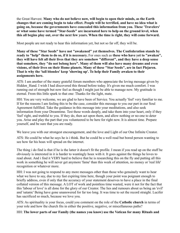the Great Harvest. **Many who do not believe now, will begin to open their minds, as the Earth changes that are coming begin to take effect. People will be terrified, and have no idea what is going on, because the governments have concealed this information from you. These 'Travelers' or what some have termed "Star-Seeds" are incarnated here to help on the ground level, when this all begins play out, over the next few years. When the time is right, they will come forward.**

Most people are not ready to hear this information yet, but not so far off, they will be.

**Many of these "Star Seeds" have not "awakened" yet themselves. The Confederation stands by ready to "help" them to do so, if it is necessary.** For ones such as **these who have yet to "awaken", they will have felt all their lives that they are somehow "different", and they have a deep sense that somehow, they "do not belong here". Many of them will also have many dreams and even visions, of their lives on their Home planets. Many of these "Star Seeds", are in fact Plejaren. That is why the 'tall blondes' keep 'showing up'. To help their Family awaken to their assignments here.**

ATS: I am another of the many grateful forum members who appreciate the loving message given by Hidden Hand. I wish I had discovered this thread before today. It's given me much comfort. I was running out of strength but now feel as though I might just be able to manage now. My gratitude is eternal. From this little spark to that one: Thanks for the light, mate.

HH: You are very welcome, we are glad to have been of Service. You actually 'feel' very familiar to me. If for the reasons I am feeling this to be the case, consider this message to you our part in our Soul Agreement fulfilled. Take the guidance in this message into your meditations, and also seek information from your Dreamtime. Test these words deeply, and take them into your heart, only if they 'feel' right, and truthful to you. If they do, then act upon them, and allow nothing or no-one to deter you. Arise and play the part that you volunteered to be here for right now. It is almost time. Prepare yourself, and be sure that you are ready.

We leave you with our strongest encouragement, and the love and Light of our One Infinite Creator.

ATS: He could be what he says he is i think. But he could be a well read but bored person wanting to see how far his hoax will spread on the internet.

The thing i do find is that if he is the latter it doesn't fit the profile. I mean if you read up on the stuff he obviously is interested in it is harder to wantingly hoax with it. It goes against the things he loves to read about. And i find it VERY hard to believe that he is researching this on the fly and putting all this work in something he will never get anymore 'fame' than this week of attention, no money or 'real life' recognition or whatever more.

HH: I was not going to respond to any more messages other than those who genuinely want to hear what we have to say, due to my fast expiring time here, though your point was poignant enough to briefly address, even if only that the accuracy of your statement deserves to have a place in the final collated version of this message. A LOT of work and pointless time wasted, were it not for the fact that this 'labour of love' is all done for the glory of our Creator. The lies and rumours about us being an 'evil' and 'satanic' Being have gone unanswered for far too long. It was time to set the record straight. Lucifer has sacrificed so much, because we love you.

ATS: As spirituality is your focus, could you comment on the role of the **Catholic church** in terms of your role and how the church fits in either the positive, negative, or miscellaneous paths?

# HH: **The lower parts of our Family (the names you know) use the Vatican for many Rituals and**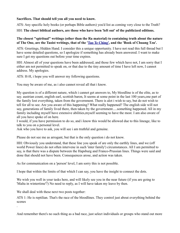# **Sacrifices. That should tell you all you need to know.**

ATS: Any specific holy books (or perhaps Bible authors) you'd list as coming very close to the Truth?

HH: **The closet biblical authors, are those who have been 'left out' of the publicized editions.**

# **The closest "spiritual" writings (other than the Ra material) to containing truth about the nature of The One, are the Taoist writings, that of the ['Tao Te Ching',](http://en.wikipedia.org/wiki/Tao_Te_Ching) and the 'Book of Chuang Tzu'.**

ATS: Greetings, Hidden Hand. I consider this a unique opportunity. I have not read this full thread but I have some detailed questions, so I apologize if something has already been answered. I want to make sure I get my questions out before your time expires.

HH: Almost all of your questions have been addressed, and those few which have not, I am sorry that I either am not permitted to speak on, or that due to the tiny amount of time I have left now, I cannot address. My apologies.

ATS: H-H, i hope you will answer my following questions.

You may be aware of me, as i also cannot reveal all that i know.

My question is of a different nature, which i cannot get answers to, My bloodline is of the elite, as to say. austrian count, english earl, scottish baron, It seems at some point in the last 100 years,one part of the family lost everything, taken from the government. There is alot i wish to say, but do not wish to tell for all to see. Are you aware of this happening? What really happened? The english side will not say, generations of family lived there, then taken by the government.....something happened. All in my family including myself have extensive abilities,myself seeming to have the most. I am also aware of all you have spoke of on here.

I would, if you have permission to do so, and i know this would be allowed due to this lineage, like to talk to you on a personal level.

Ask who you have to ask, you will see i am truthful and genuine.

Please do not see me as arrogant, but that is the only question i do not know.

HH: Obviously you understand, that these line you speak of are only the earthly lines, and we (off world Power lines) do not often intervene in such 'inter family') circumstances. All I am permitted to say, is that there was a dispute between the Hapsburg and Franco-Prussian lines. Things were said and done that should not have been. Consequences arose, and action was taken.

As for communication on a 'person' level, I am sorry this is not possible.

I hope that within the limits of that which I can say, you have the insight to connect the dots.

We wish you well in your tasks here, and will likely see you in the near future (if you are going to 'Malta in wintertime'?) No need to reply, as I will have taken my leave by then.

We shall deal with these next two posts together:

ATS 1: He is reptilian. That's the race of the bloodlines. They control just about everything behind the scenes .

And remember there's no such thing as a bad race, just select individuals or groups who stand out more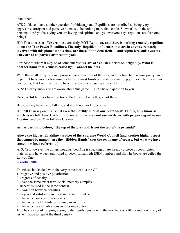than others.

ATS 2: Ok so i have another question for hidden hand. Reptilians are described as being very aggressive, arrogant and perceive humans to be nothing more than cattle. So what's with the split personalities? you're saying you are loving and spiritual and yet everyone says reptilians are fearsome beings?

HH: That amuses us. **We are most certainly NOT Reptilian, and there is nothing remotely reptilian about the True Power Bloodlines. The only 'Reptilian' influences that are in anyway remotely involved with this planet at this time, are those of the Zeta Reticuli and Alpha Draconis systems. They are of no particular threat to you.**

For those to whom it may be of some interest, **we are of Venusian heritage, originally. What is another name that Venus is called by? Connect the dots.**

Well, that is all the questions I promised to answer out of the way, and my time here is now pretty much expired. I have another few minutes before I must finish preparing for my long journey. There was two later posts, that I will just barely have time to offer a passing answer to:

ATS: I clearly know and are aware about this game…. But I have a question to you.....

Do your 3-d families have fractions. Do they not know this, all of them.

Because they have try to kill me, and it will not work. of course.

HH: All I can say on this, is that **even the Earthly lines of our "extended" Family, only know as much as we tell them. Certain information they may not use wisely, or with proper regard to our Creator, and our One Infinite Creator.**

**As has been said before, "the top of the pyramid, is not the top of the pyramid".**

# **Above the highest Earthline auspices of the Supreme World Council (and another higher aspect that cannot be named), are the "Hidden Hands" (not the real name of course, but what we have sometimes been referred to).**

ATS: Yes, however the things/thoughts/ideas! he is speaking of are already a piece of copyrighted material and have been published in book format with ISBN numbers and all. The books are called the Law of One.

[llresearch.org...](http://llresearch.org/publications.aspx)

This/these books deal with the very same ideas as the OP:

- 1. Negative and positive polarization
- 2. Degrees of density
- 3. Even the same exact term: social memory complex!
- 4. harvest is used in the same context
- 5. Evolution between densities
- 6. Logos and sub-logos are used in the same context
- 7. The same concept of Wanderers
- 8. The concept of Infinity becoming aware of itself
- 9. The same idea of vibrations in the same context

10. The concept of 'us' progressing to the fourth density with the next harvest (2012) and how many of 'us' will have to repeat the third density.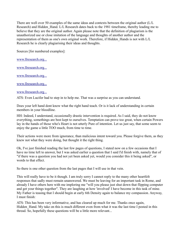There are well over 50 examples of the same ideas and contexts between the original author (L/L Research) and Hidden Hand. L/L Research dates back to the 1981 timeframe, thereby leading me to believe that they are the original author. Again please note that the definition of plagiarism is the unauthorized use or close imitation of the language and thoughts of another author and the representation of them as one's own original work. Therefore, if Hidden\_Hands is not with L/L Research he is clearly plagiarising their ideas and thoughts.

Sources [for numbered examples]:

[www.llresearch.org...](http://www.llresearch.org/publications/pub_the_law_of_one_book_1.aspx)

[www.llresearch.org...](http://www.llresearch.org/publications/pub_the_law_of_one_book_2.aspx)

[www.llresearch.org...](http://www.llresearch.org/publications/pub_the_law_of_one_book_3.aspx)

[www.llresearch.org...](http://www.llresearch.org/publications/pub_the_law_of_one_book_4.aspx)

#### [www.llresearch.org...](http://www.llresearch.org/publications/pub_the_law_of_one_book_5.aspx)

ATS: Even Lucifer had to step in to help me. That was a surprise as you can understand.

Does your left hand dont know what the right hand teach. Or is it lack of understanding in certain members in your bloodline.

HH: Indeed, I understand, occasionally drastic intervention is required. As I said, they do not know everything, somethings are best kept to ourselves. Temptation can prove too great, when certain Powers lay in the hands of those who's Heart is not utterly Pure of intention. Let us just say, that some seem to enjoy the game a little TOO much, from time to time.

Their actions were more from ignorance, than malicious intent toward you. Please forgive them, as they knew not what they were doing, but thought it the right thing.

Ok, I've just finished reading the last few pages of questions, I stated now on a few occasions that I have no time left to answer, but I was asked earlier a question that I said I'd finish with, namely that of "if there was a question you had not yet been asked yet, would you consider this it being asked", or words to that effect.

So there is one other question from the last pages that I will use in that vein.

This will really have to be it though. I am truly sorry I cannot reply to the many other heartfelt responses that sadly must remain unanswered. We must be leaving for an important task in Rome, and already I have others here with me imploring me "will you please just shut down that flipping computer and get your things together". They are laughing at how 'involved' I have become in this task of mine. My Father is teasing that I should begin at early 6th Density again to balance my compassion. Anyway, I must finish:

ATS: This has been very informative, and has cleared up much for me. Thanks once again, Hidden Hand. My take on this is much different even from what it was the last time I posted in this thread. So, hopefully these questions will be a little more relevant...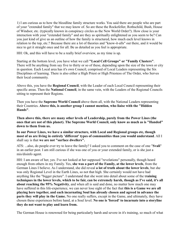1) I am curious as to how the bloodline family structure works. You said there are people who are part of your "extended family" that we may know of. So are these the Rockefeller, Rothschild, Bush, House of Windsor, etc. (typically known in conspiracy circles as the New World Order?). How close is your interaction with your "extended family" and are they as spiritually enlightened as you seem to be? Can you just kind of give us an outline of how the family is structured, how much each level knows in relation to the top, etc.? Because there are a lot of theories and "know-it-alls" out there, and it would be nice to get it straight once and for all. Be as detailed as you feel is appropriate.

HH: Ok, and this will have to be a really brief overview, as my time is up.

Starting at the bottom level, you have what we call **"Local Cell Groups" or "Family Clusters"**. There will be anything from say five to thirty or so of these, depending upon the size of the town or city in question. Each Local area has it's own Council, comprised of Local Leaders representing the Six Disciplines of learning. There is also either a High Priest or High Priestess of The Order, who Serves their local community.

Above this, you have the **Regional Council**, with the Leader of each Local Council representing their specific areas. Then the **National Council**, in the same vein, with the Leaders of the Regional Councils sitting to represent their Regions.

Then you have the **Supreme World Council** above them all, with the National Leaders representing their Countries. **Above this, is another group I cannot mention, who liaise with the "Hidden Hands"**.

**Then above this, there are many other levels of Leadership, purely from the Power Lines (the ones that are not of this planet). The Supreme World Council, only know as much as is "Handed" down to them from us.**

**In our Power Lines, we have a similar structure, with Local and Regional groups etc, though most of us are living in entirely 'different' types of communities than you would understand**. All I shall say is that **we are not "surface dwellers".** 

ATS: ...also, do people ever try to leave the family? I asked you to comment on the case of one "**Svali**" in an earlier post. I am still curious if she was one of you or your extended family, or is she just a mis/disinfo agent.

HH: I am aware of her, yes. I've not looked at her supposed "revelations" personally, though heard enough from others in my Family. Yes, **she was a part of the Family, at the lower levels**, from the German Lines I believe. As I understand, she did reveal **a lot of truth about the lower levels**, but she was only Regional Level in the Earth Lines, so not that high. She certainly would not have had anything like the "bigger picture". I understand that she went into detail about some of the t**raining techniques in the lower levels, which to be fair, can be extremely harsh, though as I've said, it's all about reaching the 95% Negativity**, and when all is said and done, no matter how much one may have suffered in this life-experience, we can never lose sight of the fact that **this is a Game we are all playing here together, and each incarnating Soul has already chosen and agreed in advance the parts they will play in the Game.** No one really suffers, except in the Game, and ultimately, they have chosen these experiences before hand, at a Soul level. **No one is 'forced' to incarnate into a storyline they do not want to play and learn from.**

The German House is renowned for being particularly harsh and severe in it's training, so much of what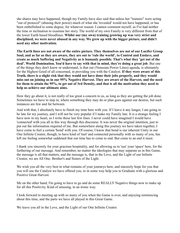she shares may have happened, though my Family have also said that unless her "trainers" were acting "out of protocol" (abusing their power) much of what she 'revealed' would not have happened, or has been embellished to some degree, for whatever reason. I cannot comment myself, as I've had neither the time or inclination to examine her story. The world of my own Family is very different from that of the lower Earth based bloodlines. **Whilst our (my own) training growing up was very strict and disciplined, we were never abused in any way. We grew up with the bigger picture, and didn't need any other motivation.**

**The Earth lines are not aware of the entire picture. They themselves are not of our Lucifer Group Soul, and as far as they are aware, they are out to 'rule the world', to Control and Enslave, and create as much Suffering and Negativity as is humanly possible. That's what they 'get out of the deal'. World Domination. You'd have to say with that in mind, they're doing a great job**. But one of the things they don't know or understand, is that our (Venusian Power Lines) agenda, is ultimately for the Highest Good of all concerned, in providing you with the Catalyst. **If they were aware of this Truth, there is a slight risk that they would not have done their jobs properly, and they would miss out on joining us in our 95% Negative Harvest. They are aware of the Harvest, and the need for them to attain the 95%, to get out of 3rd Density, and that is all the motivation they need to help us achieve our ultimate aims.**

How they go about it, is not really of too great a concern to us, as long as they are getting the job done. Sometimes we have to step in, where something they may do or plan goes against our desires, but such instances are few and far between.

And with that, I absolutely have to finish my time here with you. If I leave it any longer, I am going to be late for my journey, and I will not be very popular if I make my Family late. It is a strange feeling I have now in my heart, as I write these last few lines. I never could have imagined I would have 'connected' with you all in this way through this discourse. It was never the original intention, just to put out the information required of me. But somewhere along this journey we have taken together, I have come to feel a certain 'bond' with you. Of course, I know that bond is our inherent Unity in our One Infinite Creator, though, to have kind of 'met' and connected personally with so many of you, has left me feeling somewhat saddened that our time has to come to end. But come to an end it must.

I thank you sincerely for your gracious hospitality, and for allowing us to 'use' your 'space' here, for the furthering of our message. And remember, no matter the ideologies that may separate us in this Game, the message is all that matters, and the message is, that in the Love, and the Light of our Infinite Creator, we are All One. Brother's and Sisters of the Light.

We wish you all the very best in what remains of your journeys here, and sincerely hope for you that you will use the Catalyst we have offered you, to in some way help you to Graduate with a glorious and Positive Great Harvest.

Me on the other hand, I'm going to have to go and do some REALLY Negative things now to make up for all this Positivity. Kind of amusing, in an ironic way.

I look forward to meeting up with so many of you when the Game is over, and enjoying reminiscing about this time, and the parts we have all played in this Great Game.

We leave you all in the Love, and the Light of our One Infinite Creator.